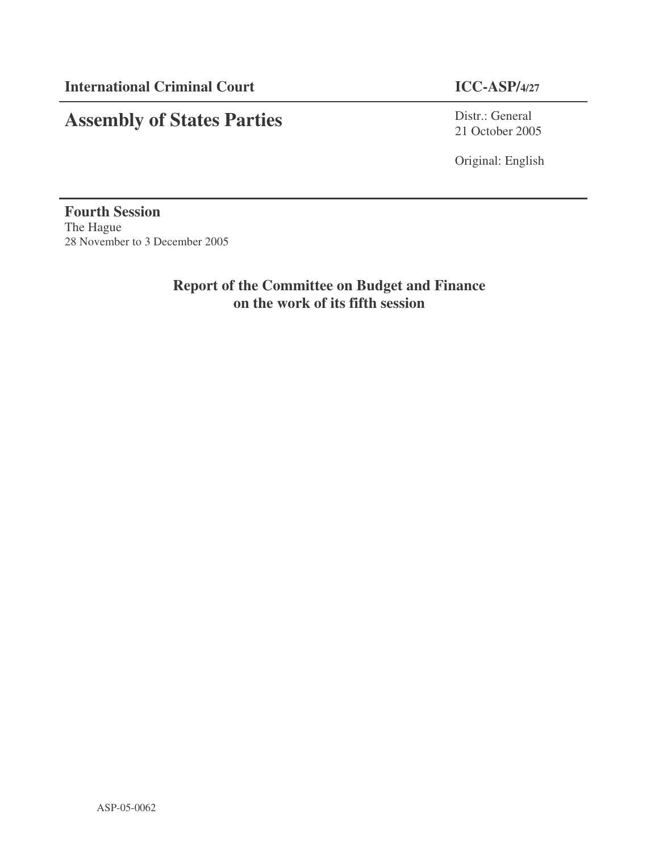# **Assembly of States Parties**

Distr.: General 21 October 2005

Original: English

**Fourth Session** The Hague 28 November to 3 December 2005

> **Report of the Committee on Budget and Finance on the work of its fifth session**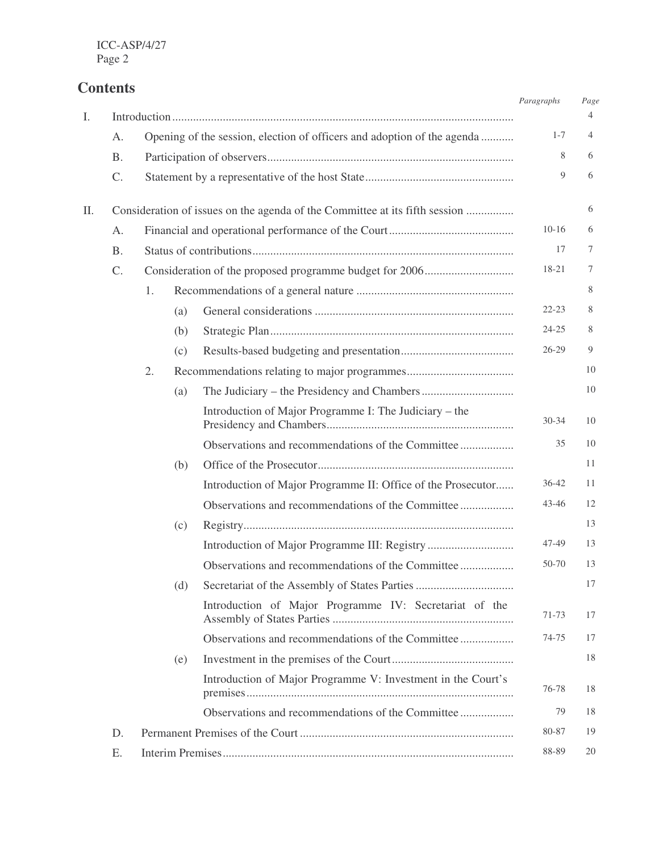# **Contents**

| I. |           |    |     |                                                                             | Paragraphs | Page<br>4 |
|----|-----------|----|-----|-----------------------------------------------------------------------------|------------|-----------|
|    | A.        |    |     | Opening of the session, election of officers and adoption of the agenda     | $1 - 7$    | 4         |
|    | <b>B.</b> |    |     |                                                                             | 8          | 6         |
|    | C.        |    |     |                                                                             | 9          | 6         |
| П. |           |    |     | Consideration of issues on the agenda of the Committee at its fifth session |            | 6         |
|    | A.        |    |     |                                                                             | $10-16$    | 6         |
|    | <b>B.</b> |    |     |                                                                             | 17         | 7         |
|    | C.        |    |     |                                                                             | 18-21      | 7         |
|    |           | 1. |     |                                                                             |            | 8         |
|    |           |    | (a) |                                                                             | $22 - 23$  | 8         |
|    |           |    | (b) |                                                                             | $24 - 25$  | 8         |
|    |           |    | (c) |                                                                             | $26 - 29$  | 9         |
|    |           | 2. |     |                                                                             |            | 10        |
|    |           |    | (a) |                                                                             |            | 10        |
|    |           |    |     | Introduction of Major Programme I: The Judiciary – the                      | $30 - 34$  | 10        |
|    |           |    |     | Observations and recommendations of the Committee                           | 35         | 10        |
|    |           |    | (b) |                                                                             |            | 11        |
|    |           |    |     | Introduction of Major Programme II: Office of the Prosecutor                | $36 - 42$  | 11        |
|    |           |    |     | Observations and recommendations of the Committee                           | 43-46      | 12        |
|    |           |    | (c) |                                                                             |            | 13        |
|    |           |    |     |                                                                             | 47-49      | 13        |
|    |           |    |     | Observations and recommendations of the Committee                           | 50-70      | 13        |
|    |           |    | (d) |                                                                             |            | 17        |
|    |           |    |     | Introduction of Major Programme IV: Secretariat of the                      | 71-73      | 17        |
|    |           |    |     |                                                                             | 74-75      | 17        |
|    |           |    | (e) |                                                                             |            | 18        |
|    |           |    |     | Introduction of Major Programme V: Investment in the Court's                | 76-78      | 18        |
|    |           |    |     |                                                                             | 79         | 18        |
|    | D.        |    |     |                                                                             | 80-87      | 19        |
|    | Ε.        |    |     |                                                                             | 88-89      | 20        |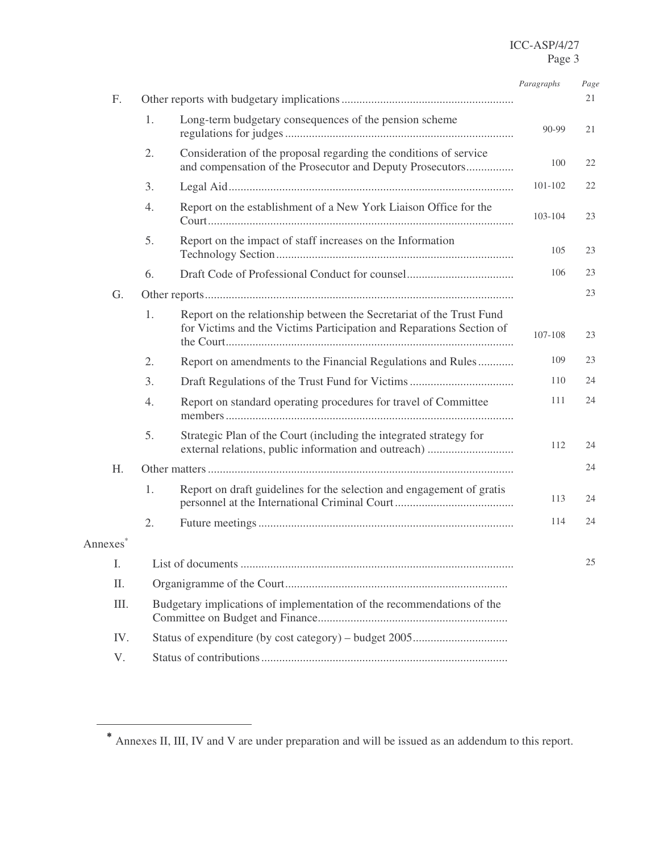| F.                   |                                                                        |                                                                                                                                              | Paragraphs | Page<br>21 |
|----------------------|------------------------------------------------------------------------|----------------------------------------------------------------------------------------------------------------------------------------------|------------|------------|
|                      | 1.                                                                     | Long-term budgetary consequences of the pension scheme                                                                                       | 90-99      | 21         |
|                      | 2.                                                                     | Consideration of the proposal regarding the conditions of service<br>and compensation of the Prosecutor and Deputy Prosecutors               | 100        | 22         |
|                      | 3.                                                                     |                                                                                                                                              | 101-102    | 22         |
|                      | 4.                                                                     | Report on the establishment of a New York Liaison Office for the                                                                             | 103-104    | 23         |
|                      | 5.                                                                     | Report on the impact of staff increases on the Information                                                                                   | 105        | 23         |
|                      | 6.                                                                     |                                                                                                                                              | 106        | 23         |
| G.                   |                                                                        |                                                                                                                                              |            | 23         |
|                      | 1.                                                                     | Report on the relationship between the Secretariat of the Trust Fund<br>for Victims and the Victims Participation and Reparations Section of | 107-108    | 23         |
|                      | 2.                                                                     | Report on amendments to the Financial Regulations and Rules                                                                                  | 109        | 23         |
|                      | 3.                                                                     |                                                                                                                                              | 110        | 24         |
|                      | 4.                                                                     | Report on standard operating procedures for travel of Committee                                                                              | 111        | 24         |
|                      | 5.                                                                     | Strategic Plan of the Court (including the integrated strategy for                                                                           | 112        | 24         |
| H.                   |                                                                        |                                                                                                                                              |            | 24         |
|                      | 1.                                                                     | Report on draft guidelines for the selection and engagement of gratis                                                                        | 113        | 24         |
|                      | 2.                                                                     |                                                                                                                                              | 114        | 24         |
| Annexes <sup>®</sup> |                                                                        |                                                                                                                                              |            |            |
| Ι.                   |                                                                        |                                                                                                                                              |            | 25         |
| Π.                   |                                                                        |                                                                                                                                              |            |            |
| Ш.                   | Budgetary implications of implementation of the recommendations of the |                                                                                                                                              |            |            |
| IV.                  |                                                                        |                                                                                                                                              |            |            |
| V.                   |                                                                        |                                                                                                                                              |            |            |

<sup>∗</sup> Annexes II, III, IV and V are under preparation and will be issued as an addendum to this report.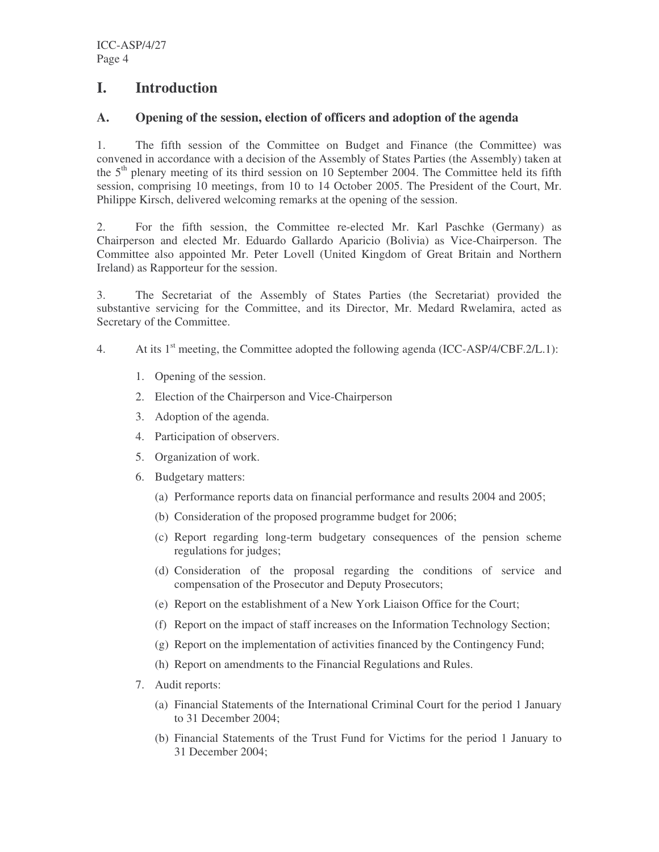## **I. Introduction**

#### **A. Opening of the session, election of officers and adoption of the agenda**

1. The fifth session of the Committee on Budget and Finance (the Committee) was convened in accordance with a decision of the Assembly of States Parties (the Assembly) taken at the 5<sup>th</sup> plenary meeting of its third session on 10 September 2004. The Committee held its fifth session, comprising 10 meetings, from 10 to 14 October 2005. The President of the Court, Mr. Philippe Kirsch, delivered welcoming remarks at the opening of the session.

2. For the fifth session, the Committee re-elected Mr. Karl Paschke (Germany) as Chairperson and elected Mr. Eduardo Gallardo Aparicio (Bolivia) as Vice-Chairperson. The Committee also appointed Mr. Peter Lovell (United Kingdom of Great Britain and Northern Ireland) as Rapporteur for the session.

3. The Secretariat of the Assembly of States Parties (the Secretariat) provided the substantive servicing for the Committee, and its Director, Mr. Medard Rwelamira, acted as Secretary of the Committee.

- 4. At its  $1<sup>st</sup>$  meeting, the Committee adopted the following agenda (ICC-ASP/4/CBF.2/L.1):
	- 1. Opening of the session.
	- 2. Election of the Chairperson and Vice-Chairperson
	- 3. Adoption of the agenda.
	- 4. Participation of observers.
	- 5. Organization of work.
	- 6. Budgetary matters:
		- (a) Performance reports data on financial performance and results 2004 and 2005;
		- (b) Consideration of the proposed programme budget for 2006;
		- (c) Report regarding long-term budgetary consequences of the pension scheme regulations for judges;
		- (d) Consideration of the proposal regarding the conditions of service and compensation of the Prosecutor and Deputy Prosecutors;
		- (e) Report on the establishment of a New York Liaison Office for the Court;
		- (f) Report on the impact of staff increases on the Information Technology Section;
		- (g) Report on the implementation of activities financed by the Contingency Fund;
		- (h) Report on amendments to the Financial Regulations and Rules.
	- 7. Audit reports:
		- (a) Financial Statements of the International Criminal Court for the period 1 January to 31 December 2004;
		- (b) Financial Statements of the Trust Fund for Victims for the period 1 January to 31 December 2004;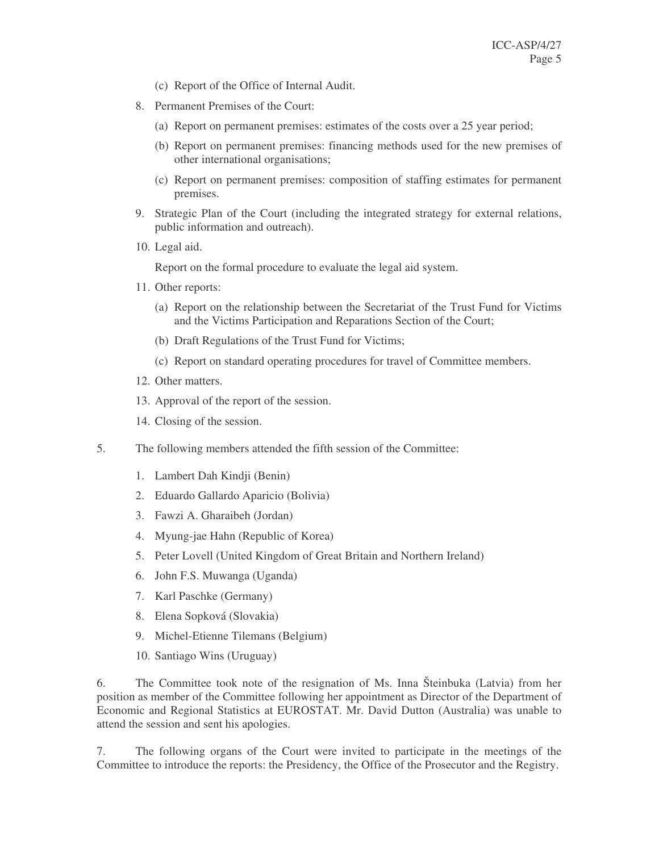- (c) Report of the Office of Internal Audit.
- 8. Permanent Premises of the Court:
	- (a) Report on permanent premises: estimates of the costs over a 25 year period;
	- (b) Report on permanent premises: financing methods used for the new premises of other international organisations;
	- (c) Report on permanent premises: composition of staffing estimates for permanent premises.
- 9. Strategic Plan of the Court (including the integrated strategy for external relations, public information and outreach).
- 10. Legal aid.

Report on the formal procedure to evaluate the legal aid system.

- 11. Other reports:
	- (a) Report on the relationship between the Secretariat of the Trust Fund for Victims and the Victims Participation and Reparations Section of the Court;
	- (b) Draft Regulations of the Trust Fund for Victims;
	- (c) Report on standard operating procedures for travel of Committee members.
- 12. Other matters.
- 13. Approval of the report of the session.
- 14. Closing of the session.
- 5. The following members attended the fifth session of the Committee:
	- 1. Lambert Dah Kindji (Benin)
	- 2. Eduardo Gallardo Aparicio (Bolivia)
	- 3. Fawzi A. Gharaibeh (Jordan)
	- 4. Myung-jae Hahn (Republic of Korea)
	- 5. Peter Lovell (United Kingdom of Great Britain and Northern Ireland)
	- 6. John F.S. Muwanga (Uganda)
	- 7. Karl Paschke (Germany)
	- 8. Elena Sopková (Slovakia)
	- 9. Michel-Etienne Tilemans (Belgium)
	- 10. Santiago Wins (Uruguay)

6. The Committee took note of the resignation of Ms. Inna Šteinbuka (Latvia) from her position as member of the Committee following her appointment as Director of the Department of Economic and Regional Statistics at EUROSTAT. Mr. David Dutton (Australia) was unable to attend the session and sent his apologies.

7. The following organs of the Court were invited to participate in the meetings of the Committee to introduce the reports: the Presidency, the Office of the Prosecutor and the Registry.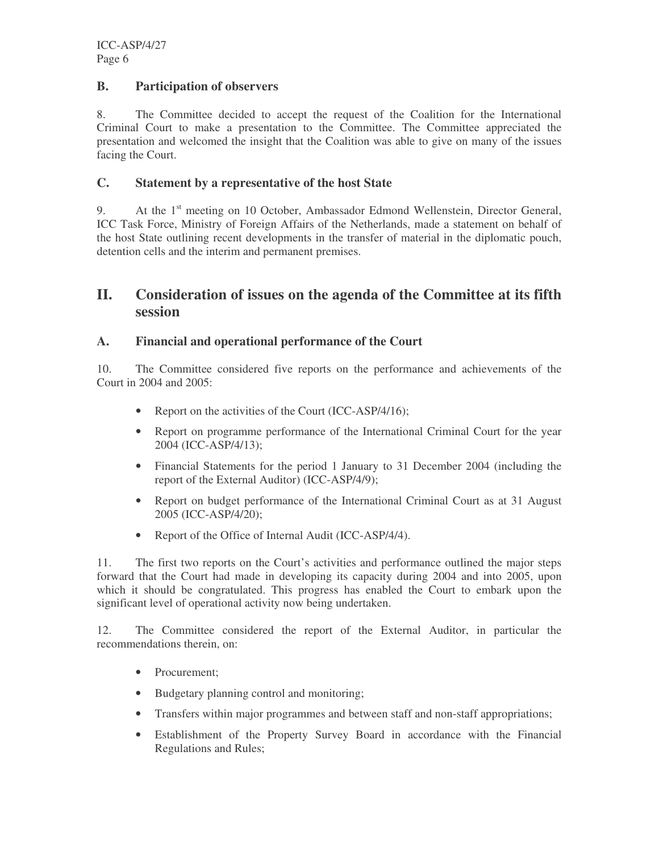#### **B. Participation of observers**

8. The Committee decided to accept the request of the Coalition for the International Criminal Court to make a presentation to the Committee. The Committee appreciated the presentation and welcomed the insight that the Coalition was able to give on many of the issues facing the Court.

#### **C. Statement by a representative of the host State**

9. At the 1<sup>st</sup> meeting on 10 October, Ambassador Edmond Wellenstein, Director General, ICC Task Force, Ministry of Foreign Affairs of the Netherlands, made a statement on behalf of the host State outlining recent developments in the transfer of material in the diplomatic pouch, detention cells and the interim and permanent premises.

## **II. Consideration of issues on the agenda of the Committee at its fifth session**

#### **A. Financial and operational performance of the Court**

10. The Committee considered five reports on the performance and achievements of the Court in 2004 and 2005:

- Report on the activities of the Court (ICC-ASP/4/16);
- Report on programme performance of the International Criminal Court for the year 2004 (ICC-ASP/4/13);
- Financial Statements for the period 1 January to 31 December 2004 (including the report of the External Auditor) (ICC-ASP/4/9);
- Report on budget performance of the International Criminal Court as at 31 August 2005 (ICC-ASP/4/20);
- Report of the Office of Internal Audit (ICC-ASP/4/4).

11. The first two reports on the Court's activities and performance outlined the major steps forward that the Court had made in developing its capacity during 2004 and into 2005, upon which it should be congratulated. This progress has enabled the Court to embark upon the significant level of operational activity now being undertaken.

12. The Committee considered the report of the External Auditor, in particular the recommendations therein, on:

- Procurement:
- Budgetary planning control and monitoring;
- Transfers within major programmes and between staff and non-staff appropriations;
- Establishment of the Property Survey Board in accordance with the Financial Regulations and Rules;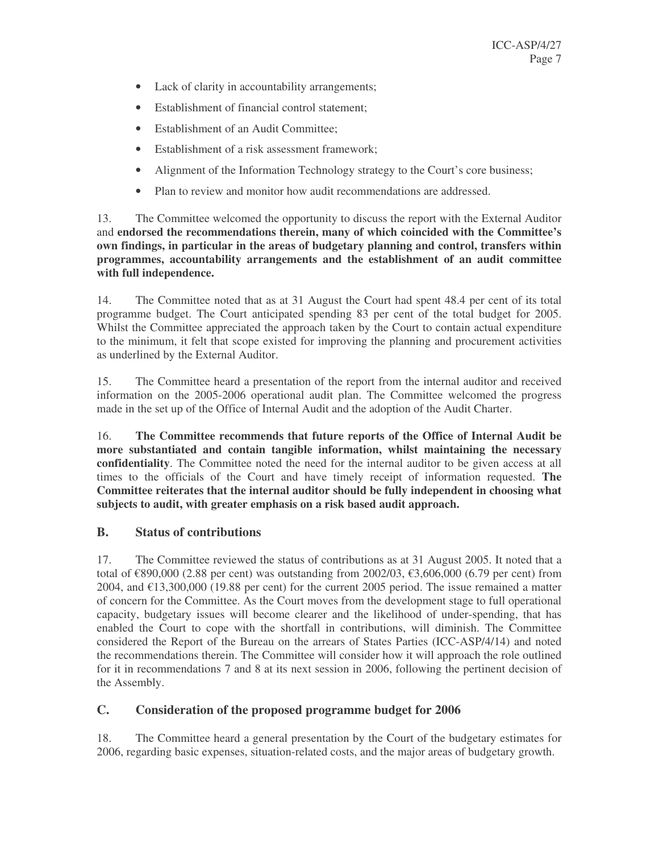- Lack of clarity in accountability arrangements;
- Establishment of financial control statement;
- Establishment of an Audit Committee:
- Establishment of a risk assessment framework;
- Alignment of the Information Technology strategy to the Court's core business;
- Plan to review and monitor how audit recommendations are addressed.

13. The Committee welcomed the opportunity to discuss the report with the External Auditor and **endorsed the recommendations therein, many of which coincided with the Committee's own findings, in particular in the areas of budgetary planning and control, transfers within programmes, accountability arrangements and the establishment of an audit committee with full independence.**

14. The Committee noted that as at 31 August the Court had spent 48.4 per cent of its total programme budget. The Court anticipated spending 83 per cent of the total budget for 2005. Whilst the Committee appreciated the approach taken by the Court to contain actual expenditure to the minimum, it felt that scope existed for improving the planning and procurement activities as underlined by the External Auditor.

15. The Committee heard a presentation of the report from the internal auditor and received information on the 2005-2006 operational audit plan. The Committee welcomed the progress made in the set up of the Office of Internal Audit and the adoption of the Audit Charter.

16. **The Committee recommends that future reports of the Office of Internal Audit be more substantiated and contain tangible information, whilst maintaining the necessary confidentiality**. The Committee noted the need for the internal auditor to be given access at all times to the officials of the Court and have timely receipt of information requested. **The Committee reiterates that the internal auditor should be fully independent in choosing what subjects to audit, with greater emphasis on a risk based audit approach.**

#### **B. Status of contributions**

17. The Committee reviewed the status of contributions as at 31 August 2005. It noted that a total of €890,000 (2.88 per cent) was outstanding from 2002/03, €3,606,000 (6.79 per cent) from 2004, and  $\epsilon$ 13,300,000 (19.88 per cent) for the current 2005 period. The issue remained a matter of concern for the Committee. As the Court moves from the development stage to full operational capacity, budgetary issues will become clearer and the likelihood of under-spending, that has enabled the Court to cope with the shortfall in contributions, will diminish. The Committee considered the Report of the Bureau on the arrears of States Parties (ICC-ASP/4/14) and noted the recommendations therein. The Committee will consider how it will approach the role outlined for it in recommendations 7 and 8 at its next session in 2006, following the pertinent decision of the Assembly.

#### **C. Consideration of the proposed programme budget for 2006**

18. The Committee heard a general presentation by the Court of the budgetary estimates for 2006, regarding basic expenses, situation-related costs, and the major areas of budgetary growth.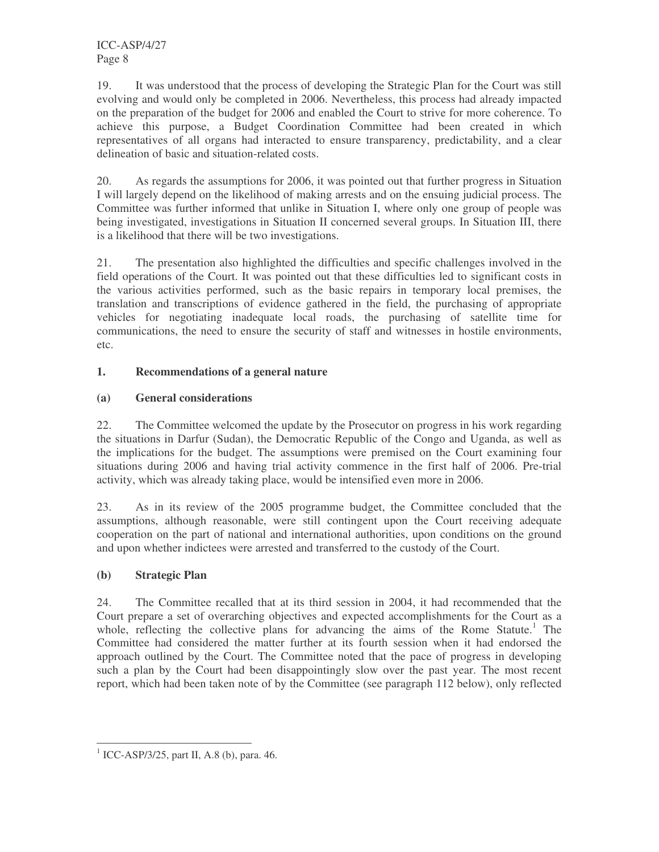ICC-ASP/4/27 Page 8

19. It was understood that the process of developing the Strategic Plan for the Court was still evolving and would only be completed in 2006. Nevertheless, this process had already impacted on the preparation of the budget for 2006 and enabled the Court to strive for more coherence. To achieve this purpose, a Budget Coordination Committee had been created in which representatives of all organs had interacted to ensure transparency, predictability, and a clear delineation of basic and situation-related costs.

20. As regards the assumptions for 2006, it was pointed out that further progress in Situation I will largely depend on the likelihood of making arrests and on the ensuing judicial process. The Committee was further informed that unlike in Situation I, where only one group of people was being investigated, investigations in Situation II concerned several groups. In Situation III, there is a likelihood that there will be two investigations.

21. The presentation also highlighted the difficulties and specific challenges involved in the field operations of the Court. It was pointed out that these difficulties led to significant costs in the various activities performed, such as the basic repairs in temporary local premises, the translation and transcriptions of evidence gathered in the field, the purchasing of appropriate vehicles for negotiating inadequate local roads, the purchasing of satellite time for communications, the need to ensure the security of staff and witnesses in hostile environments, etc.

#### **1. Recommendations of a general nature**

### **(a) General considerations**

22. The Committee welcomed the update by the Prosecutor on progress in his work regarding the situations in Darfur (Sudan), the Democratic Republic of the Congo and Uganda, as well as the implications for the budget. The assumptions were premised on the Court examining four situations during 2006 and having trial activity commence in the first half of 2006. Pre-trial activity, which was already taking place, would be intensified even more in 2006.

23. As in its review of the 2005 programme budget, the Committee concluded that the assumptions, although reasonable, were still contingent upon the Court receiving adequate cooperation on the part of national and international authorities, upon conditions on the ground and upon whether indictees were arrested and transferred to the custody of the Court.

#### **(b) Strategic Plan**

24. The Committee recalled that at its third session in 2004, it had recommended that the Court prepare a set of overarching objectives and expected accomplishments for the Court as a whole, reflecting the collective plans for advancing the aims of the Rome Statute.<sup>1</sup> The Committee had considered the matter further at its fourth session when it had endorsed the approach outlined by the Court. The Committee noted that the pace of progress in developing such a plan by the Court had been disappointingly slow over the past year. The most recent report, which had been taken note of by the Committee (see paragraph 112 below), only reflected

<sup>&</sup>lt;sup>1</sup> ICC-ASP/3/25, part II, A.8 (b), para. 46.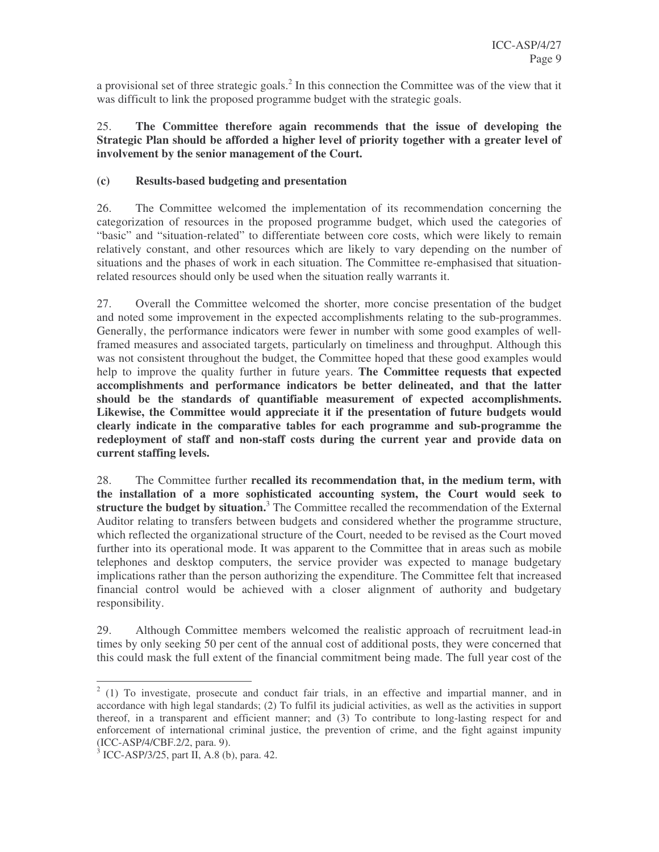a provisional set of three strategic goals.<sup>2</sup> In this connection the Committee was of the view that it was difficult to link the proposed programme budget with the strategic goals.

#### 25. **The Committee therefore again recommends that the issue of developing the Strategic Plan should be afforded a higher level of priority together with a greater level of involvement by the senior management of the Court.**

#### **(c) Results-based budgeting and presentation**

26. The Committee welcomed the implementation of its recommendation concerning the categorization of resources in the proposed programme budget, which used the categories of "basic" and "situation-related" to differentiate between core costs, which were likely to remain relatively constant, and other resources which are likely to vary depending on the number of situations and the phases of work in each situation. The Committee re-emphasised that situationrelated resources should only be used when the situation really warrants it.

27. Overall the Committee welcomed the shorter, more concise presentation of the budget and noted some improvement in the expected accomplishments relating to the sub-programmes. Generally, the performance indicators were fewer in number with some good examples of wellframed measures and associated targets, particularly on timeliness and throughput. Although this was not consistent throughout the budget, the Committee hoped that these good examples would help to improve the quality further in future years. **The Committee requests that expected accomplishments and performance indicators be better delineated, and that the latter should be the standards of quantifiable measurement of expected accomplishments. Likewise, the Committee would appreciate it if the presentation of future budgets would clearly indicate in the comparative tables for each programme and sub-programme the redeployment of staff and non-staff costs during the current year and provide data on current staffing levels.**

28. The Committee further **recalled its recommendation that, in the medium term, with the installation of a more sophisticated accounting system, the Court would seek to structure the budget by situation.** <sup>3</sup> The Committee recalled the recommendation of the External Auditor relating to transfers between budgets and considered whether the programme structure, which reflected the organizational structure of the Court, needed to be revised as the Court moved further into its operational mode. It was apparent to the Committee that in areas such as mobile telephones and desktop computers, the service provider was expected to manage budgetary implications rather than the person authorizing the expenditure. The Committee felt that increased financial control would be achieved with a closer alignment of authority and budgetary responsibility.

29. Although Committee members welcomed the realistic approach of recruitment lead-in times by only seeking 50 per cent of the annual cost of additional posts, they were concerned that this could mask the full extent of the financial commitment being made. The full year cost of the

 $2(1)$  To investigate, prosecute and conduct fair trials, in an effective and impartial manner, and in accordance with high legal standards; (2) To fulfil its judicial activities, as well as the activities in support thereof, in a transparent and efficient manner; and (3) To contribute to long-lasting respect for and enforcement of international criminal justice, the prevention of crime, and the fight against impunity (ICC-ASP/4/CBF.2/2, para. 9).

<sup>3</sup> ICC-ASP/3/25, part II, A.8 (b), para. 42.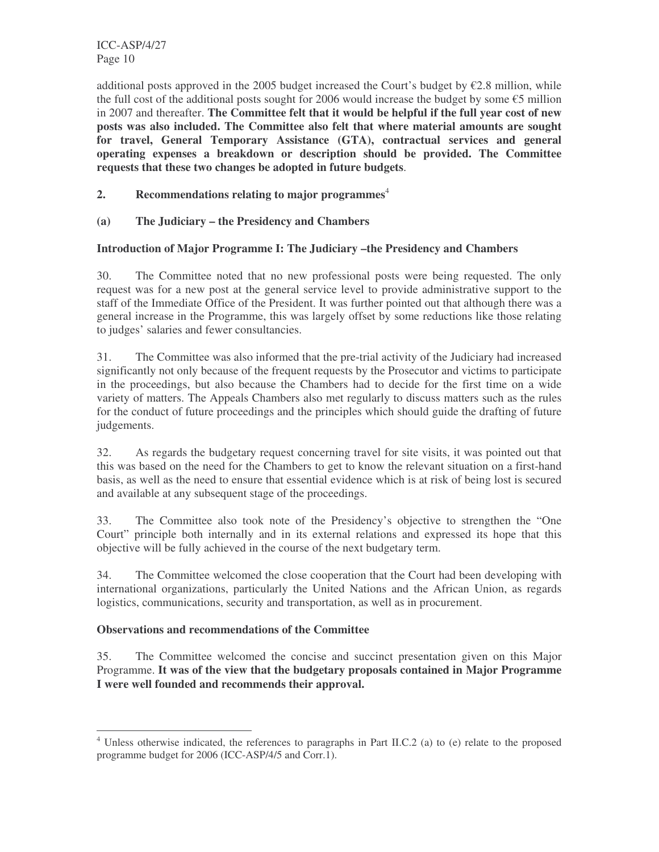ICC-ASP/4/27 Page 10

additional posts approved in the 2005 budget increased the Court's budget by  $\epsilon$ 2.8 million, while the full cost of the additional posts sought for 2006 would increase the budget by some  $\epsilon$ 5 million in 2007 and thereafter. **The Committee felt that it would be helpful if the full year cost of new posts was also included. The Committee also felt that where material amounts are sought for travel, General Temporary Assistance (GTA), contractual services and general operating expenses a breakdown or description should be provided. The Committee requests that these two changes be adopted in future budgets**.

## **2. Recommendations relating to major programmes** 4

#### **(a) The Judiciary – the Presidency and Chambers**

#### **Introduction of Major Programme I: The Judiciary –the Presidency and Chambers**

30. The Committee noted that no new professional posts were being requested. The only request was for a new post at the general service level to provide administrative support to the staff of the Immediate Office of the President. It was further pointed out that although there was a general increase in the Programme, this was largely offset by some reductions like those relating to judges' salaries and fewer consultancies.

31. The Committee was also informed that the pre-trial activity of the Judiciary had increased significantly not only because of the frequent requests by the Prosecutor and victims to participate in the proceedings, but also because the Chambers had to decide for the first time on a wide variety of matters. The Appeals Chambers also met regularly to discuss matters such as the rules for the conduct of future proceedings and the principles which should guide the drafting of future judgements.

32. As regards the budgetary request concerning travel for site visits, it was pointed out that this was based on the need for the Chambers to get to know the relevant situation on a first-hand basis, as well as the need to ensure that essential evidence which is at risk of being lost is secured and available at any subsequent stage of the proceedings.

33. The Committee also took note of the Presidency's objective to strengthen the "One Court" principle both internally and in its external relations and expressed its hope that this objective will be fully achieved in the course of the next budgetary term.

34. The Committee welcomed the close cooperation that the Court had been developing with international organizations, particularly the United Nations and the African Union, as regards logistics, communications, security and transportation, as well as in procurement.

#### **Observations and recommendations of the Committee**

35. The Committee welcomed the concise and succinct presentation given on this Major Programme. **It was of the view that the budgetary proposals contained in Major Programme I were well founded and recommends their approval.**

<sup>4</sup> Unless otherwise indicated, the references to paragraphs in Part II.C.2 (a) to (e) relate to the proposed programme budget for 2006 (ICC-ASP/4/5 and Corr.1).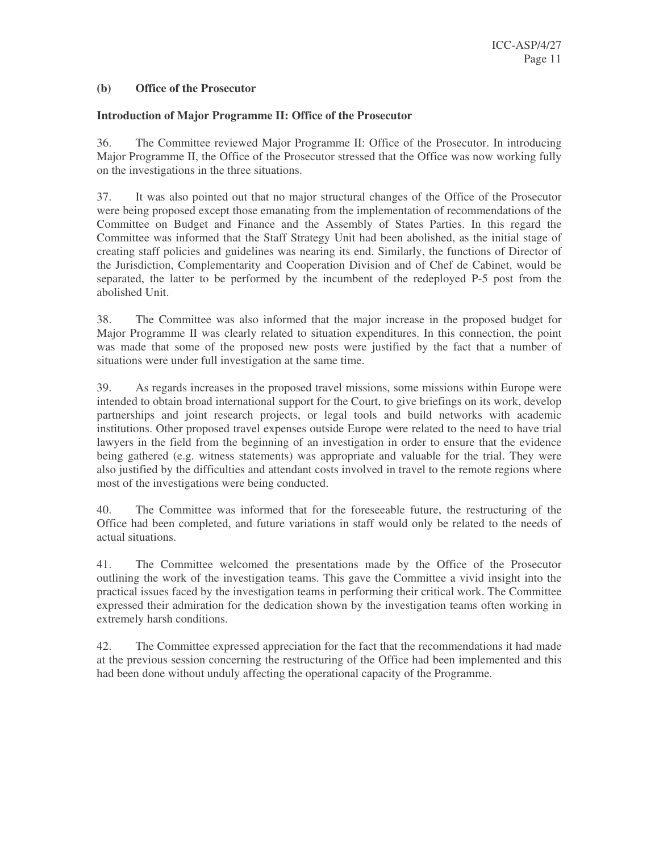#### **(b) Office of the Prosecutor**

#### **Introduction of Major Programme II: Office of the Prosecutor**

36. The Committee reviewed Major Programme II: Office of the Prosecutor. In introducing Major Programme II, the Office of the Prosecutor stressed that the Office was now working fully on the investigations in the three situations.

37. It was also pointed out that no major structural changes of the Office of the Prosecutor were being proposed except those emanating from the implementation of recommendations of the Committee on Budget and Finance and the Assembly of States Parties. In this regard the Committee was informed that the Staff Strategy Unit had been abolished, as the initial stage of creating staff policies and guidelines was nearing its end. Similarly, the functions of Director of the Jurisdiction, Complementarity and Cooperation Division and of Chef de Cabinet, would be separated, the latter to be performed by the incumbent of the redeployed P-5 post from the abolished Unit.

38. The Committee was also informed that the major increase in the proposed budget for Major Programme II was clearly related to situation expenditures. In this connection, the point was made that some of the proposed new posts were justified by the fact that a number of situations were under full investigation at the same time.

39. As regards increases in the proposed travel missions, some missions within Europe were intended to obtain broad international support for the Court, to give briefings on its work, develop partnerships and joint research projects, or legal tools and build networks with academic institutions. Other proposed travel expenses outside Europe were related to the need to have trial lawyers in the field from the beginning of an investigation in order to ensure that the evidence being gathered (e.g. witness statements) was appropriate and valuable for the trial. They were also justified by the difficulties and attendant costs involved in travel to the remote regions where most of the investigations were being conducted.

40. The Committee was informed that for the foreseeable future, the restructuring of the Office had been completed, and future variations in staff would only be related to the needs of actual situations.

41. The Committee welcomed the presentations made by the Office of the Prosecutor outlining the work of the investigation teams. This gave the Committee a vivid insight into the practical issues faced by the investigation teams in performing their critical work. The Committee expressed their admiration for the dedication shown by the investigation teams often working in extremely harsh conditions.

42. The Committee expressed appreciation for the fact that the recommendations it had made at the previous session concerning the restructuring of the Office had been implemented and this had been done without unduly affecting the operational capacity of the Programme.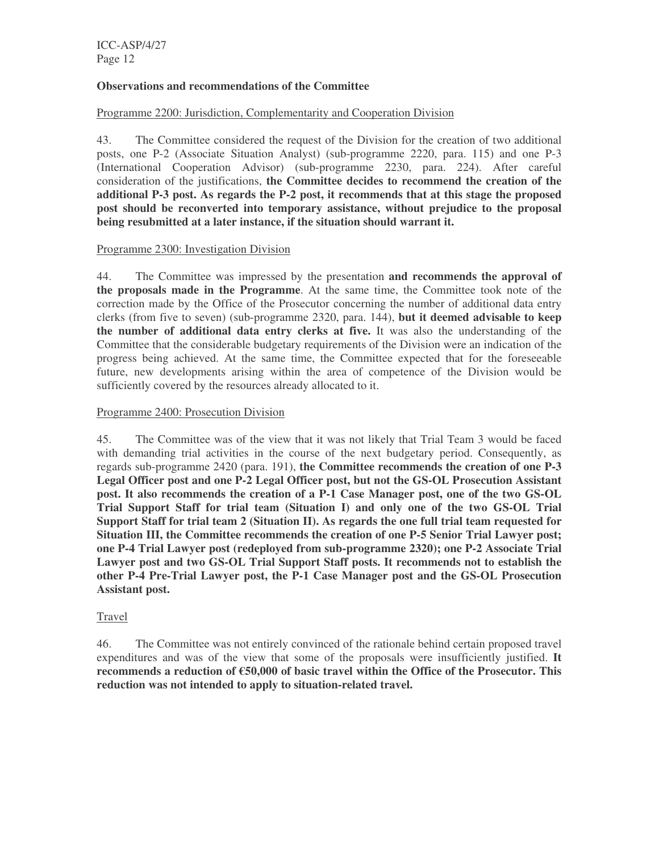#### **Observations and recommendations of the Committee**

#### Programme 2200: Jurisdiction, Complementarity and Cooperation Division

43. The Committee considered the request of the Division for the creation of two additional posts, one P-2 (Associate Situation Analyst) (sub-programme 2220, para. 115) and one P-3 (International Cooperation Advisor) (sub-programme 2230, para. 224). After careful consideration of the justifications, **the Committee decides to recommend the creation of the additional P-3 post. As regards the P-2 post, it recommends that at this stage the proposed post should be reconverted into temporary assistance, without prejudice to the proposal being resubmitted at a later instance, if the situation should warrant it.**

#### Programme 2300: Investigation Division

44. The Committee was impressed by the presentation **and recommends the approval of the proposals made in the Programme**. At the same time, the Committee took note of the correction made by the Office of the Prosecutor concerning the number of additional data entry clerks (from five to seven) (sub-programme 2320, para. 144), **but it deemed advisable to keep the number of additional data entry clerks at five.** It was also the understanding of the Committee that the considerable budgetary requirements of the Division were an indication of the progress being achieved. At the same time, the Committee expected that for the foreseeable future, new developments arising within the area of competence of the Division would be sufficiently covered by the resources already allocated to it.

#### Programme 2400: Prosecution Division

45. The Committee was of the view that it was not likely that Trial Team 3 would be faced with demanding trial activities in the course of the next budgetary period. Consequently, as regards sub-programme 2420 (para. 191), **the Committee recommends the creation of one P-3 Legal Officer post and one P-2 Legal Officer post, but not the GS-OL Prosecution Assistant post. It also recommends the creation of a P-1 Case Manager post, one of the two GS-OL Trial Support Staff for trial team (Situation I) and only one of the two GS-OL Trial Support Staff for trial team 2 (Situation II). As regards the one full trial team requested for Situation III, the Committee recommends the creation of one P-5 Senior Trial Lawyer post; one P-4 Trial Lawyer post (redeployed from sub-programme 2320); one P-2 Associate Trial Lawyer post and two GS-OL Trial Support Staff posts. It recommends not to establish the other P-4 Pre-Trial Lawyer post, the P-1 Case Manager post and the GS-OL Prosecution Assistant post.**

#### Travel

46. The Committee was not entirely convinced of the rationale behind certain proposed travel expenditures and was of the view that some of the proposals were insufficiently justified. **It recommends a reduction of €50,000 of basic travel within the Office of the Prosecutor. This reduction was not intended to apply to situation-related travel.**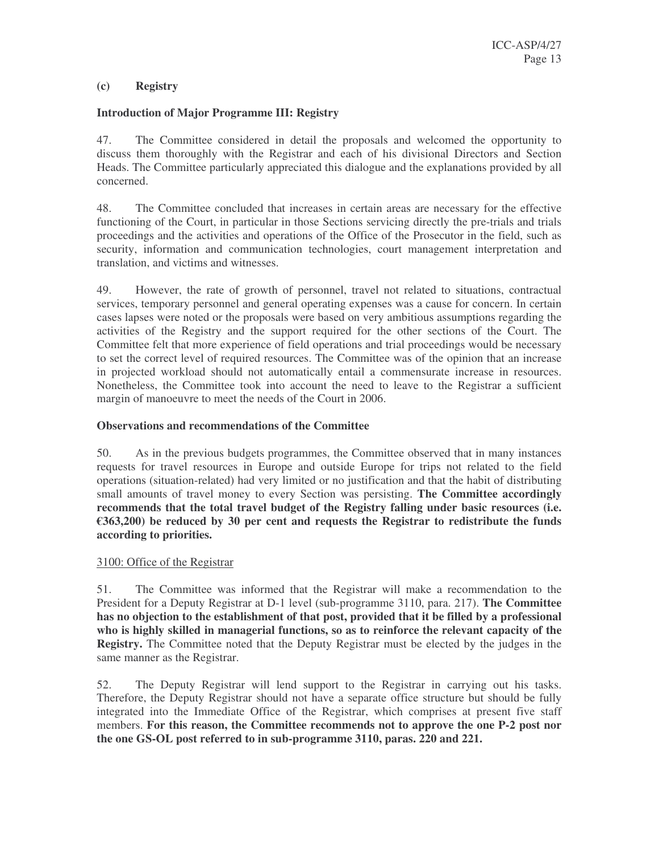#### **(c) Registry**

#### **Introduction of Major Programme III: Registry**

47. The Committee considered in detail the proposals and welcomed the opportunity to discuss them thoroughly with the Registrar and each of his divisional Directors and Section Heads. The Committee particularly appreciated this dialogue and the explanations provided by all concerned.

48. The Committee concluded that increases in certain areas are necessary for the effective functioning of the Court, in particular in those Sections servicing directly the pre-trials and trials proceedings and the activities and operations of the Office of the Prosecutor in the field, such as security, information and communication technologies, court management interpretation and translation, and victims and witnesses.

49. However, the rate of growth of personnel, travel not related to situations, contractual services, temporary personnel and general operating expenses was a cause for concern. In certain cases lapses were noted or the proposals were based on very ambitious assumptions regarding the activities of the Registry and the support required for the other sections of the Court. The Committee felt that more experience of field operations and trial proceedings would be necessary to set the correct level of required resources. The Committee was of the opinion that an increase in projected workload should not automatically entail a commensurate increase in resources. Nonetheless, the Committee took into account the need to leave to the Registrar a sufficient margin of manoeuvre to meet the needs of the Court in 2006.

#### **Observations and recommendations of the Committee**

50. As in the previous budgets programmes, the Committee observed that in many instances requests for travel resources in Europe and outside Europe for trips not related to the field operations (situation-related) had very limited or no justification and that the habit of distributing small amounts of travel money to every Section was persisting. **The Committee accordingly recommends that the total travel budget of the Registry falling under basic resources (i.e. €363,200) be reduced by 30 per cent and requests the Registrar to redistribute the funds according to priorities.**

#### 3100: Office of the Registrar

51. The Committee was informed that the Registrar will make a recommendation to the President for a Deputy Registrar at D-1 level (sub-programme 3110, para. 217). **The Committee has no objection to the establishment of that post, provided that it be filled by a professional who is highly skilled in managerial functions, so as to reinforce the relevant capacity of the Registry.** The Committee noted that the Deputy Registrar must be elected by the judges in the same manner as the Registrar.

52. The Deputy Registrar will lend support to the Registrar in carrying out his tasks. Therefore, the Deputy Registrar should not have a separate office structure but should be fully integrated into the Immediate Office of the Registrar, which comprises at present five staff members. **For this reason, the Committee recommends not to approve the one P-2 post nor the one GS-OL post referred to in sub-programme 3110, paras. 220 and 221.**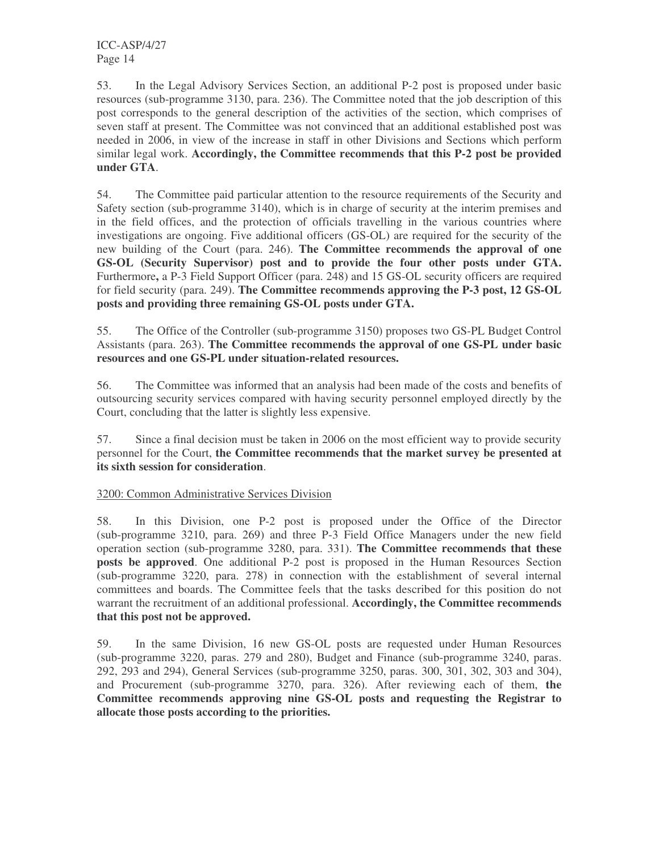ICC-ASP/4/27 Page 14

53. In the Legal Advisory Services Section, an additional P-2 post is proposed under basic resources (sub-programme 3130, para. 236). The Committee noted that the job description of this post corresponds to the general description of the activities of the section, which comprises of seven staff at present. The Committee was not convinced that an additional established post was needed in 2006, in view of the increase in staff in other Divisions and Sections which perform similar legal work. **Accordingly, the Committee recommends that this P-2 post be provided under GTA**.

54. The Committee paid particular attention to the resource requirements of the Security and Safety section (sub-programme 3140), which is in charge of security at the interim premises and in the field offices, and the protection of officials travelling in the various countries where investigations are ongoing. Five additional officers (GS-OL) are required for the security of the new building of the Court (para. 246). **The Committee recommends the approval of one GS-OL (Security Supervisor) post and to provide the four other posts under GTA.** Furthermore**,** a P-3 Field Support Officer (para. 248) and 15 GS-OL security officers are required for field security (para. 249). **The Committee recommends approving the P-3 post, 12 GS-OL posts and providing three remaining GS-OL posts under GTA.**

55. The Office of the Controller (sub-programme 3150) proposes two GS-PL Budget Control Assistants (para. 263). **The Committee recommends the approval of one GS-PL under basic resources and one GS-PL under situation-related resources.**

56. The Committee was informed that an analysis had been made of the costs and benefits of outsourcing security services compared with having security personnel employed directly by the Court, concluding that the latter is slightly less expensive.

57. Since a final decision must be taken in 2006 on the most efficient way to provide security personnel for the Court, **the Committee recommends that the market survey be presented at its sixth session for consideration**.

#### 3200: Common Administrative Services Division

58. In this Division, one P-2 post is proposed under the Office of the Director (sub-programme 3210, para. 269) and three P-3 Field Office Managers under the new field operation section (sub-programme 3280, para. 331). **The Committee recommends that these posts be approved**. One additional P-2 post is proposed in the Human Resources Section (sub-programme 3220, para. 278) in connection with the establishment of several internal committees and boards. The Committee feels that the tasks described for this position do not warrant the recruitment of an additional professional. **Accordingly, the Committee recommends that this post not be approved.**

59. In the same Division, 16 new GS-OL posts are requested under Human Resources (sub-programme 3220, paras. 279 and 280), Budget and Finance (sub-programme 3240, paras. 292, 293 and 294), General Services (sub-programme 3250, paras. 300, 301, 302, 303 and 304), and Procurement (sub-programme 3270, para. 326). After reviewing each of them, **the Committee recommends approving nine GS-OL posts and requesting the Registrar to allocate those posts according to the priorities.**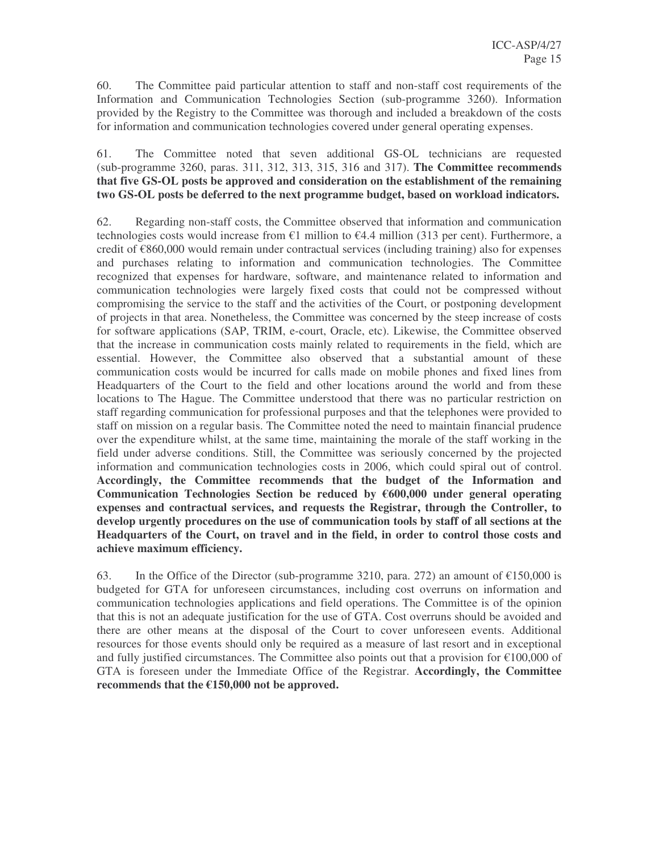60. The Committee paid particular attention to staff and non-staff cost requirements of the Information and Communication Technologies Section (sub-programme 3260). Information provided by the Registry to the Committee was thorough and included a breakdown of the costs for information and communication technologies covered under general operating expenses.

61. The Committee noted that seven additional GS-OL technicians are requested (sub-programme 3260, paras. 311, 312, 313, 315, 316 and 317). **The Committee recommends that five GS-OL posts be approved and consideration on the establishment of the remaining two GS-OL posts be deferred to the next programme budget, based on workload indicators.**

62. Regarding non-staff costs, the Committee observed that information and communication technologies costs would increase from  $\epsilon$ 1 million to  $\epsilon$ 4.4 million (313 per cent). Furthermore, a credit of €860,000 would remain under contractual services (including training) also for expenses and purchases relating to information and communication technologies. The Committee recognized that expenses for hardware, software, and maintenance related to information and communication technologies were largely fixed costs that could not be compressed without compromising the service to the staff and the activities of the Court, or postponing development of projects in that area. Nonetheless, the Committee was concerned by the steep increase of costs for software applications (SAP, TRIM, e-court, Oracle, etc). Likewise, the Committee observed that the increase in communication costs mainly related to requirements in the field, which are essential. However, the Committee also observed that a substantial amount of these communication costs would be incurred for calls made on mobile phones and fixed lines from Headquarters of the Court to the field and other locations around the world and from these locations to The Hague. The Committee understood that there was no particular restriction on staff regarding communication for professional purposes and that the telephones were provided to staff on mission on a regular basis. The Committee noted the need to maintain financial prudence over the expenditure whilst, at the same time, maintaining the morale of the staff working in the field under adverse conditions. Still, the Committee was seriously concerned by the projected information and communication technologies costs in 2006, which could spiral out of control. **Accordingly, the Committee recommends that the budget of the Information and Communication Technologies Section be reduced by €600,000 under general operating expenses and contractual services, and requests the Registrar, through the Controller, to develop urgently procedures on the use of communication tools by staff of all sections at the Headquarters of the Court, on travel and in the field, in order to control those costs and achieve maximum efficiency.**

63. In the Office of the Director (sub-programme 3210, para. 272) an amount of  $\epsilon$ 150,000 is budgeted for GTA for unforeseen circumstances, including cost overruns on information and communication technologies applications and field operations. The Committee is of the opinion that this is not an adequate justification for the use of GTA. Cost overruns should be avoided and there are other means at the disposal of the Court to cover unforeseen events. Additional resources for those events should only be required as a measure of last resort and in exceptional and fully justified circumstances. The Committee also points out that a provision for  $\epsilon$ 100,000 of GTA is foreseen under the Immediate Office of the Registrar. **Accordingly, the Committee recommends that the €150,000 not be approved.**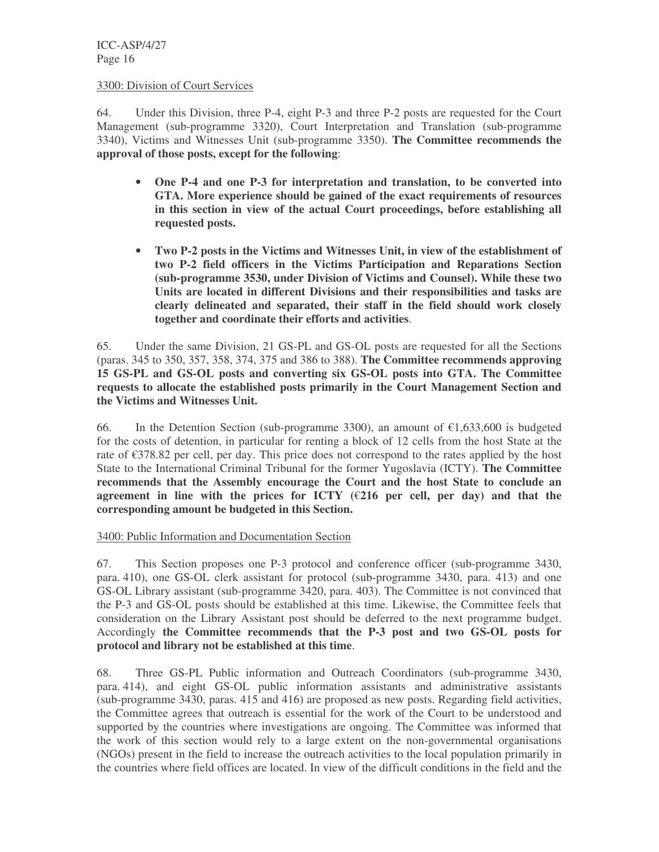#### 3300: Division of Court Services

64. Under this Division, three P-4, eight P-3 and three P-2 posts are requested for the Court Management (sub-programme 3320), Court Interpretation and Translation (sub-programme 3340), Victims and Witnesses Unit (sub-programme 3350). **The Committee recommends the approval of those posts, except for the following**:

- **One P-4 and one P-3 for interpretation and translation, to be converted into GTA. More experience should be gained of the exact requirements of resources in this section in view of the actual Court proceedings, before establishing all requested posts.**
- **Two P-2 posts in the Victims and Witnesses Unit, in view of the establishment of two P-2 field officers in the Victims Participation and Reparations Section (sub-programme 3530, under Division of Victims and Counsel). While these two Units are located in different Divisions and their responsibilities and tasks are clearly delineated and separated, their staff in the field should work closely together and coordinate their efforts and activities**.

65. Under the same Division, 21 GS-PL and GS-OL posts are requested for all the Sections (paras. 345 to 350, 357, 358, 374, 375 and 386 to 388). **The Committee recommends approving 15 GS-PL and GS-OL posts and converting six GS-OL posts into GTA. The Committee requests to allocate the established posts primarily in the Court Management Section and the Victims and Witnesses Unit.**

66. In the Detention Section (sub-programme 3300), an amount of  $\epsilon$ 1,633,600 is budgeted for the costs of detention, in particular for renting a block of 12 cells from the host State at the rate of €378.82 per cell, per day. This price does not correspond to the rates applied by the host State to the International Criminal Tribunal for the former Yugoslavia (ICTY). **The Committee recommends that the Assembly encourage the Court and the host State to conclude an agreement in line with the prices for ICTY (**€**216 per cell, per day) and that the corresponding amount be budgeted in this Section.**

#### 3400: Public Information and Documentation Section

67. This Section proposes one P-3 protocol and conference officer (sub-programme 3430, para. 410), one GS-OL clerk assistant for protocol (sub-programme 3430, para. 413) and one GS-OL Library assistant (sub-programme 3420, para. 403). The Committee is not convinced that the P-3 and GS-OL posts should be established at this time. Likewise, the Committee feels that consideration on the Library Assistant post should be deferred to the next programme budget. Accordingly **the Committee recommends that the P-3 post and two GS-OL posts for protocol and library not be established at this time**.

68. Three GS-PL Public information and Outreach Coordinators (sub-programme 3430, para. 414), and eight GS-OL public information assistants and administrative assistants (sub-programme 3430, paras. 415 and 416) are proposed as new posts. Regarding field activities, the Committee agrees that outreach is essential for the work of the Court to be understood and supported by the countries where investigations are ongoing. The Committee was informed that the work of this section would rely to a large extent on the non-governmental organisations (NGOs) present in the field to increase the outreach activities to the local population primarily in the countries where field offices are located. In view of the difficult conditions in the field and the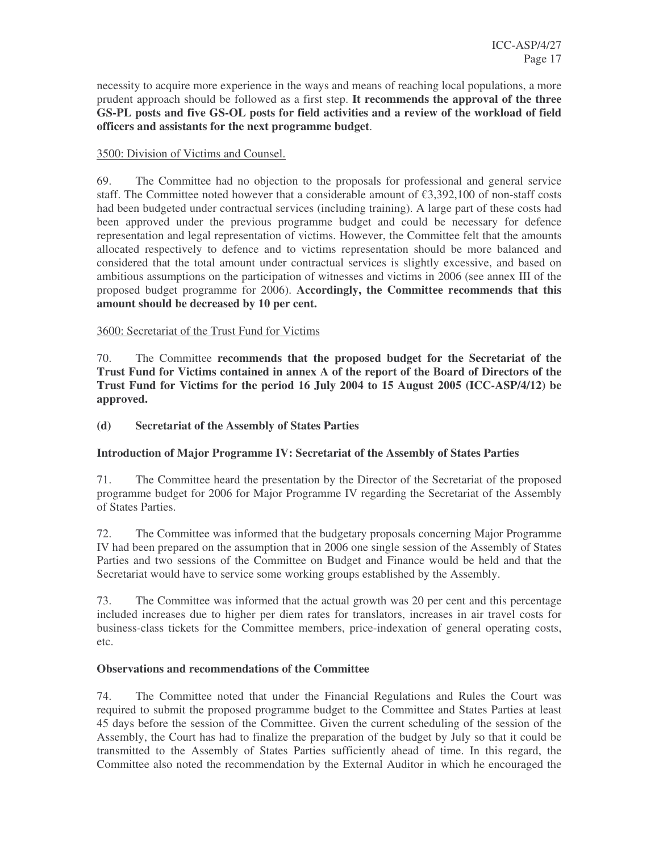necessity to acquire more experience in the ways and means of reaching local populations, a more prudent approach should be followed as a first step. **It recommends the approval of the three GS-PL posts and five GS-OL posts for field activities and a review of the workload of field officers and assistants for the next programme budget**.

#### 3500: Division of Victims and Counsel.

69. The Committee had no objection to the proposals for professional and general service staff. The Committee noted however that a considerable amount of €3,392,100 of non-staff costs had been budgeted under contractual services (including training). A large part of these costs had been approved under the previous programme budget and could be necessary for defence representation and legal representation of victims. However, the Committee felt that the amounts allocated respectively to defence and to victims representation should be more balanced and considered that the total amount under contractual services is slightly excessive, and based on ambitious assumptions on the participation of witnesses and victims in 2006 (see annex III of the proposed budget programme for 2006). **Accordingly, the Committee recommends that this amount should be decreased by 10 per cent.**

#### 3600: Secretariat of the Trust Fund for Victims

70. The Committee **recommends that the proposed budget for the Secretariat of the Trust Fund for Victims contained in annex A of the report of the Board of Directors of the Trust Fund for Victims for the period 16 July 2004 to 15 August 2005 (ICC-ASP/4/12) be approved.**

#### **(d) Secretariat of the Assembly of States Parties**

#### **Introduction of Major Programme IV: Secretariat of the Assembly of States Parties**

71. The Committee heard the presentation by the Director of the Secretariat of the proposed programme budget for 2006 for Major Programme IV regarding the Secretariat of the Assembly of States Parties.

72. The Committee was informed that the budgetary proposals concerning Major Programme IV had been prepared on the assumption that in 2006 one single session of the Assembly of States Parties and two sessions of the Committee on Budget and Finance would be held and that the Secretariat would have to service some working groups established by the Assembly.

73. The Committee was informed that the actual growth was 20 per cent and this percentage included increases due to higher per diem rates for translators, increases in air travel costs for business-class tickets for the Committee members, price-indexation of general operating costs, etc.

#### **Observations and recommendations of the Committee**

74. The Committee noted that under the Financial Regulations and Rules the Court was required to submit the proposed programme budget to the Committee and States Parties at least 45 days before the session of the Committee. Given the current scheduling of the session of the Assembly, the Court has had to finalize the preparation of the budget by July so that it could be transmitted to the Assembly of States Parties sufficiently ahead of time. In this regard, the Committee also noted the recommendation by the External Auditor in which he encouraged the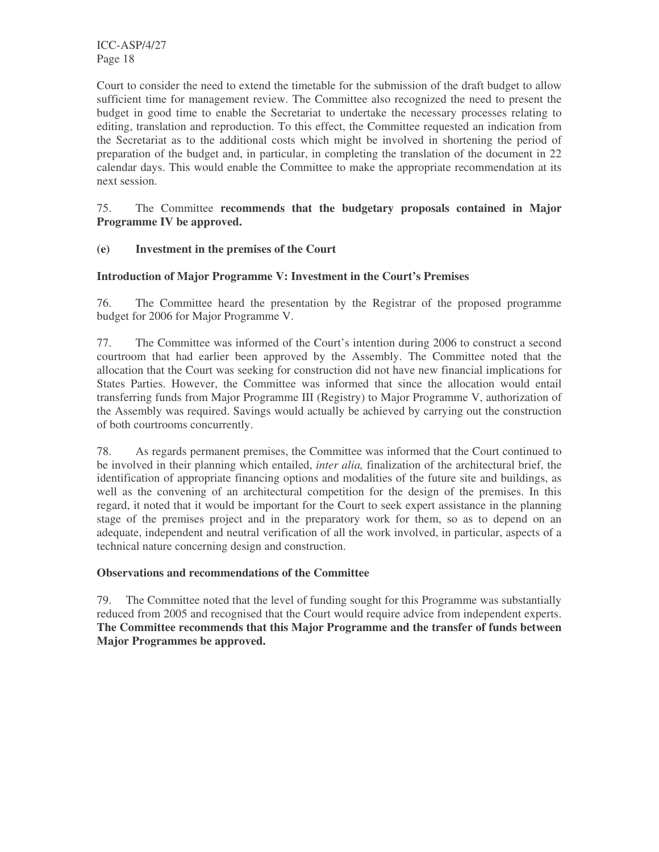ICC-ASP/4/27 Page 18

Court to consider the need to extend the timetable for the submission of the draft budget to allow sufficient time for management review. The Committee also recognized the need to present the budget in good time to enable the Secretariat to undertake the necessary processes relating to editing, translation and reproduction. To this effect, the Committee requested an indication from the Secretariat as to the additional costs which might be involved in shortening the period of preparation of the budget and, in particular, in completing the translation of the document in 22 calendar days. This would enable the Committee to make the appropriate recommendation at its next session.

#### 75. The Committee **recommends that the budgetary proposals contained in Major Programme IV be approved.**

#### **(e) Investment in the premises of the Court**

#### **Introduction of Major Programme V: Investment in the Court's Premises**

76. The Committee heard the presentation by the Registrar of the proposed programme budget for 2006 for Major Programme V.

77. The Committee was informed of the Court's intention during 2006 to construct a second courtroom that had earlier been approved by the Assembly. The Committee noted that the allocation that the Court was seeking for construction did not have new financial implications for States Parties. However, the Committee was informed that since the allocation would entail transferring funds from Major Programme III (Registry) to Major Programme V, authorization of the Assembly was required. Savings would actually be achieved by carrying out the construction of both courtrooms concurrently.

78. As regards permanent premises, the Committee was informed that the Court continued to be involved in their planning which entailed, *inter alia,* finalization of the architectural brief, the identification of appropriate financing options and modalities of the future site and buildings, as well as the convening of an architectural competition for the design of the premises. In this regard, it noted that it would be important for the Court to seek expert assistance in the planning stage of the premises project and in the preparatory work for them, so as to depend on an adequate, independent and neutral verification of all the work involved, in particular, aspects of a technical nature concerning design and construction.

#### **Observations and recommendations of the Committee**

79. The Committee noted that the level of funding sought for this Programme was substantially reduced from 2005 and recognised that the Court would require advice from independent experts. **The Committee recommends that this Major Programme and the transfer of funds between Major Programmes be approved.**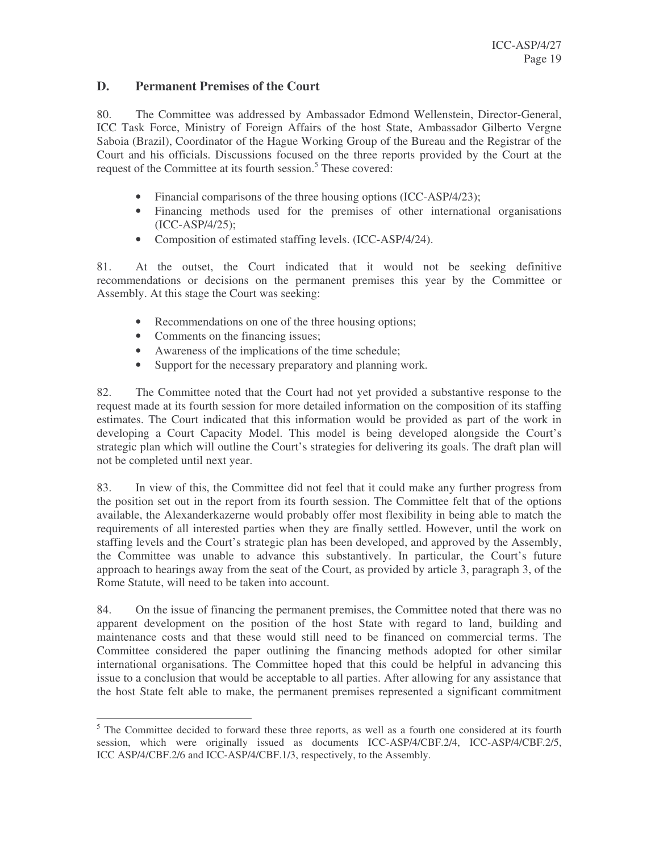#### **D. Permanent Premises of the Court**

80. The Committee was addressed by Ambassador Edmond Wellenstein, Director-General, ICC Task Force, Ministry of Foreign Affairs of the host State, Ambassador Gilberto Vergne Saboia (Brazil), Coordinator of the Hague Working Group of the Bureau and the Registrar of the Court and his officials. Discussions focused on the three reports provided by the Court at the request of the Committee at its fourth session.<sup>5</sup> These covered:

- Financial comparisons of the three housing options (ICC-ASP/4/23);
- Financing methods used for the premises of other international organisations (ICC-ASP/4/25);
- Composition of estimated staffing levels. (ICC-ASP/4/24).

81. At the outset, the Court indicated that it would not be seeking definitive recommendations or decisions on the permanent premises this year by the Committee or Assembly. At this stage the Court was seeking:

- Recommendations on one of the three housing options;
- Comments on the financing issues;
- Awareness of the implications of the time schedule;
- Support for the necessary preparatory and planning work.

82. The Committee noted that the Court had not yet provided a substantive response to the request made at its fourth session for more detailed information on the composition of its staffing estimates. The Court indicated that this information would be provided as part of the work in developing a Court Capacity Model. This model is being developed alongside the Court's strategic plan which will outline the Court's strategies for delivering its goals. The draft plan will not be completed until next year.

83. In view of this, the Committee did not feel that it could make any further progress from the position set out in the report from its fourth session. The Committee felt that of the options available, the Alexanderkazerne would probably offer most flexibility in being able to match the requirements of all interested parties when they are finally settled. However, until the work on staffing levels and the Court's strategic plan has been developed, and approved by the Assembly, the Committee was unable to advance this substantively. In particular, the Court's future approach to hearings away from the seat of the Court, as provided by article 3, paragraph 3, of the Rome Statute, will need to be taken into account.

84. On the issue of financing the permanent premises, the Committee noted that there was no apparent development on the position of the host State with regard to land, building and maintenance costs and that these would still need to be financed on commercial terms. The Committee considered the paper outlining the financing methods adopted for other similar international organisations. The Committee hoped that this could be helpful in advancing this issue to a conclusion that would be acceptable to all parties. After allowing for any assistance that the host State felt able to make, the permanent premises represented a significant commitment

<sup>&</sup>lt;sup>5</sup> The Committee decided to forward these three reports, as well as a fourth one considered at its fourth session, which were originally issued as documents ICC-ASP/4/CBF.2/4, ICC-ASP/4/CBF.2/5, ICC ASP/4/CBF.2/6 and ICC-ASP/4/CBF.1/3, respectively, to the Assembly.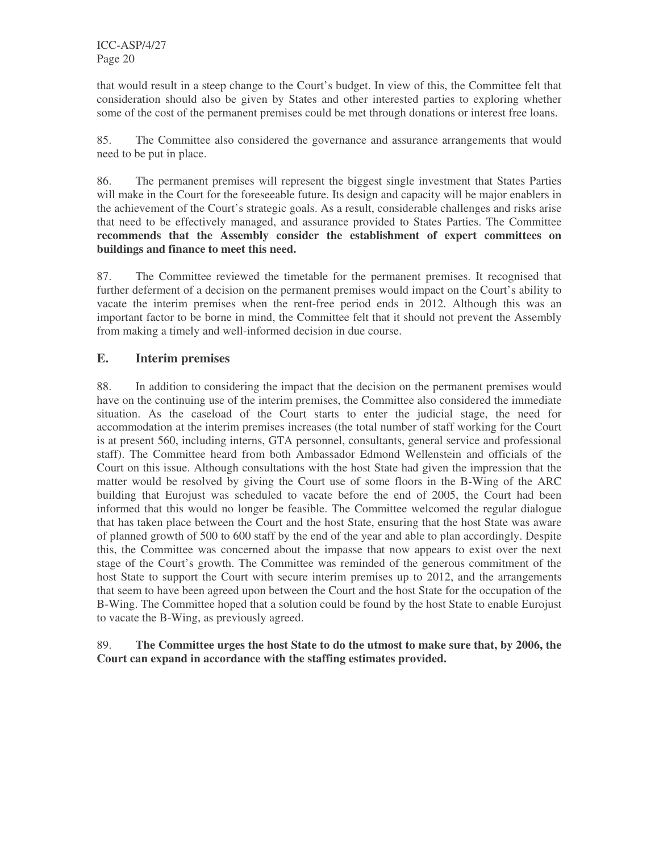that would result in a steep change to the Court's budget. In view of this, the Committee felt that consideration should also be given by States and other interested parties to exploring whether some of the cost of the permanent premises could be met through donations or interest free loans.

85. The Committee also considered the governance and assurance arrangements that would need to be put in place.

86. The permanent premises will represent the biggest single investment that States Parties will make in the Court for the foreseeable future. Its design and capacity will be major enablers in the achievement of the Court's strategic goals. As a result, considerable challenges and risks arise that need to be effectively managed, and assurance provided to States Parties. The Committee **recommends that the Assembly consider the establishment of expert committees on buildings and finance to meet this need.**

87. The Committee reviewed the timetable for the permanent premises. It recognised that further deferment of a decision on the permanent premises would impact on the Court's ability to vacate the interim premises when the rent-free period ends in 2012. Although this was an important factor to be borne in mind, the Committee felt that it should not prevent the Assembly from making a timely and well-informed decision in due course.

### **E. Interim premises**

88. In addition to considering the impact that the decision on the permanent premises would have on the continuing use of the interim premises, the Committee also considered the immediate situation. As the caseload of the Court starts to enter the judicial stage, the need for accommodation at the interim premises increases (the total number of staff working for the Court is at present 560, including interns, GTA personnel, consultants, general service and professional staff). The Committee heard from both Ambassador Edmond Wellenstein and officials of the Court on this issue. Although consultations with the host State had given the impression that the matter would be resolved by giving the Court use of some floors in the B-Wing of the ARC building that Eurojust was scheduled to vacate before the end of 2005, the Court had been informed that this would no longer be feasible. The Committee welcomed the regular dialogue that has taken place between the Court and the host State, ensuring that the host State was aware of planned growth of 500 to 600 staff by the end of the year and able to plan accordingly. Despite this, the Committee was concerned about the impasse that now appears to exist over the next stage of the Court's growth. The Committee was reminded of the generous commitment of the host State to support the Court with secure interim premises up to 2012, and the arrangements that seem to have been agreed upon between the Court and the host State for the occupation of the B-Wing. The Committee hoped that a solution could be found by the host State to enable Eurojust to vacate the B-Wing, as previously agreed.

89. **The Committee urges the host State to do the utmost to make sure that, by 2006, the Court can expand in accordance with the staffing estimates provided.**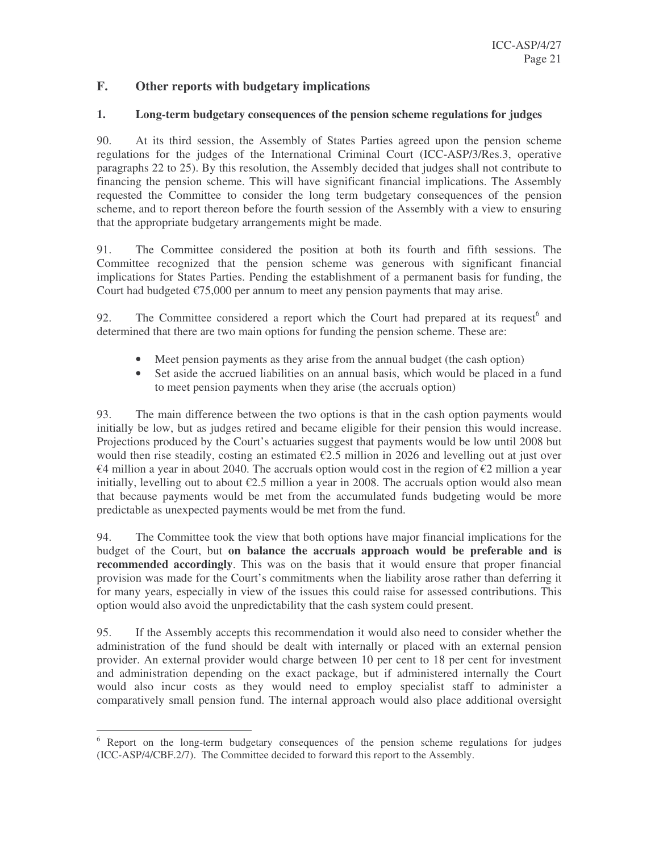#### **F. Other reports with budgetary implications**

#### **1. Long-term budgetary consequences of the pension scheme regulations for judges**

90. At its third session, the Assembly of States Parties agreed upon the pension scheme regulations for the judges of the International Criminal Court (ICC-ASP/3/Res.3, operative paragraphs 22 to 25). By this resolution, the Assembly decided that judges shall not contribute to financing the pension scheme. This will have significant financial implications. The Assembly requested the Committee to consider the long term budgetary consequences of the pension scheme, and to report thereon before the fourth session of the Assembly with a view to ensuring that the appropriate budgetary arrangements might be made.

91. The Committee considered the position at both its fourth and fifth sessions. The Committee recognized that the pension scheme was generous with significant financial implications for States Parties. Pending the establishment of a permanent basis for funding, the Court had budgeted  $\epsilon$ 75,000 per annum to meet any pension payments that may arise.

92. The Committee considered a report which the Court had prepared at its request<sup>6</sup> and determined that there are two main options for funding the pension scheme. These are:

- Meet pension payments as they arise from the annual budget (the cash option)
- Set aside the accrued liabilities on an annual basis, which would be placed in a fund to meet pension payments when they arise (the accruals option)

93. The main difference between the two options is that in the cash option payments would initially be low, but as judges retired and became eligible for their pension this would increase. Projections produced by the Court's actuaries suggest that payments would be low until 2008 but would then rise steadily, costing an estimated  $\epsilon$ 2.5 million in 2026 and levelling out at just over  $\epsilon$ 4 million a year in about 2040. The accruals option would cost in the region of  $\epsilon$ 2 million a year initially, levelling out to about  $\epsilon$ 2.5 million a year in 2008. The accruals option would also mean that because payments would be met from the accumulated funds budgeting would be more predictable as unexpected payments would be met from the fund.

94. The Committee took the view that both options have major financial implications for the budget of the Court, but **on balance the accruals approach would be preferable and is recommended accordingly**. This was on the basis that it would ensure that proper financial provision was made for the Court's commitments when the liability arose rather than deferring it for many years, especially in view of the issues this could raise for assessed contributions. This option would also avoid the unpredictability that the cash system could present.

95. If the Assembly accepts this recommendation it would also need to consider whether the administration of the fund should be dealt with internally or placed with an external pension provider. An external provider would charge between 10 per cent to 18 per cent for investment and administration depending on the exact package, but if administered internally the Court would also incur costs as they would need to employ specialist staff to administer a comparatively small pension fund. The internal approach would also place additional oversight

 $6$  Report on the long-term budgetary consequences of the pension scheme regulations for judges (ICC-ASP/4/CBF.2/7). The Committee decided to forward this report to the Assembly.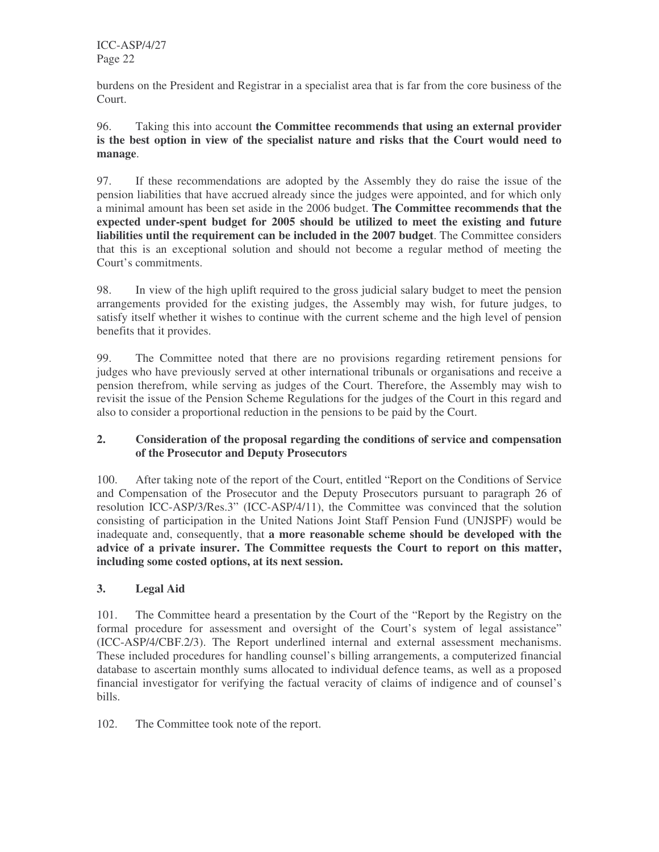burdens on the President and Registrar in a specialist area that is far from the core business of the Court.

96. Taking this into account **the Committee recommends that using an external provider is the best option in view of the specialist nature and risks that the Court would need to manage**.

97. If these recommendations are adopted by the Assembly they do raise the issue of the pension liabilities that have accrued already since the judges were appointed, and for which only a minimal amount has been set aside in the 2006 budget. **The Committee recommends that the expected under-spent budget for 2005 should be utilized to meet the existing and future liabilities until the requirement can be included in the 2007 budget**. The Committee considers that this is an exceptional solution and should not become a regular method of meeting the Court's commitments.

98. In view of the high uplift required to the gross judicial salary budget to meet the pension arrangements provided for the existing judges, the Assembly may wish, for future judges, to satisfy itself whether it wishes to continue with the current scheme and the high level of pension benefits that it provides.

99. The Committee noted that there are no provisions regarding retirement pensions for judges who have previously served at other international tribunals or organisations and receive a pension therefrom, while serving as judges of the Court. Therefore, the Assembly may wish to revisit the issue of the Pension Scheme Regulations for the judges of the Court in this regard and also to consider a proportional reduction in the pensions to be paid by the Court.

#### **2. Consideration of the proposal regarding the conditions of service and compensation of the Prosecutor and Deputy Prosecutors**

100. After taking note of the report of the Court, entitled "Report on the Conditions of Service and Compensation of the Prosecutor and the Deputy Prosecutors pursuant to paragraph 26 of resolution ICC-ASP/3/Res.3" (ICC-ASP/4/11), the Committee was convinced that the solution consisting of participation in the United Nations Joint Staff Pension Fund (UNJSPF) would be inadequate and, consequently, that **a more reasonable scheme should be developed with the advice of a private insurer. The Committee requests the Court to report on this matter, including some costed options, at its next session.**

## **3. Legal Aid**

101. The Committee heard a presentation by the Court of the "Report by the Registry on the formal procedure for assessment and oversight of the Court's system of legal assistance" (ICC-ASP/4/CBF.2/3). The Report underlined internal and external assessment mechanisms. These included procedures for handling counsel's billing arrangements, a computerized financial database to ascertain monthly sums allocated to individual defence teams, as well as a proposed financial investigator for verifying the factual veracity of claims of indigence and of counsel's bills.

102. The Committee took note of the report.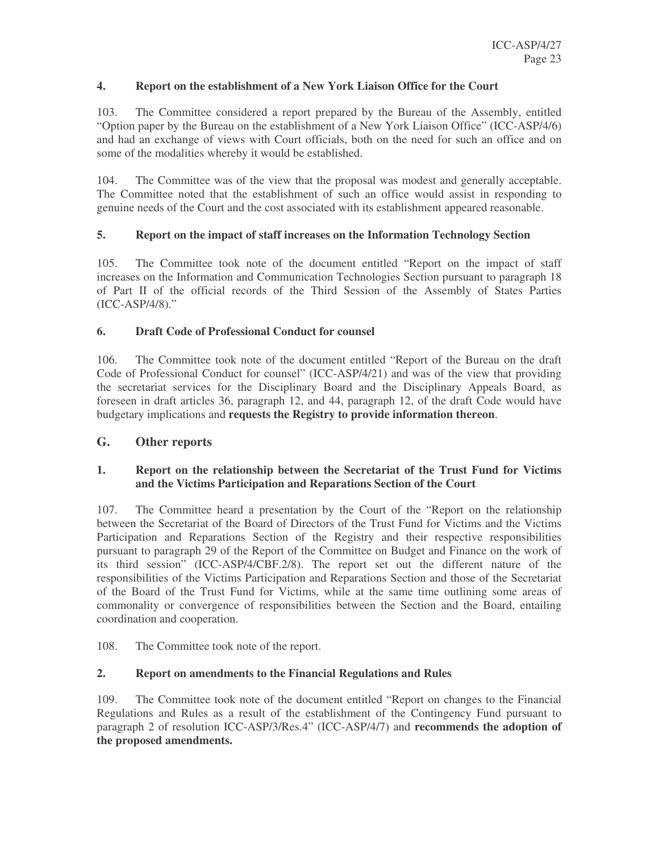#### **4. Report on the establishment of a New York Liaison Office for the Court**

103. The Committee considered a report prepared by the Bureau of the Assembly, entitled "Option paper by the Bureau on the establishment of a New York Liaison Office" (ICC-ASP/4/6) and had an exchange of views with Court officials, both on the need for such an office and on some of the modalities whereby it would be established.

104. The Committee was of the view that the proposal was modest and generally acceptable. The Committee noted that the establishment of such an office would assist in responding to genuine needs of the Court and the cost associated with its establishment appeared reasonable.

#### **5. Report on the impact of staff increases on the Information Technology Section**

105. The Committee took note of the document entitled "Report on the impact of staff increases on the Information and Communication Technologies Section pursuant to paragraph 18 of Part II of the official records of the Third Session of the Assembly of States Parties (ICC-ASP/4/8)."

#### **6. Draft Code of Professional Conduct for counsel**

106. The Committee took note of the document entitled "Report of the Bureau on the draft Code of Professional Conduct for counsel" (ICC-ASP/4/21) and was of the view that providing the secretariat services for the Disciplinary Board and the Disciplinary Appeals Board, as foreseen in draft articles 36, paragraph 12, and 44, paragraph 12, of the draft Code would have budgetary implications and **requests the Registry to provide information thereon**.

#### **G. Other reports**

#### **1. Report on the relationship between the Secretariat of the Trust Fund for Victims and the Victims Participation and Reparations Section of the Court**

107. The Committee heard a presentation by the Court of the "Report on the relationship between the Secretariat of the Board of Directors of the Trust Fund for Victims and the Victims Participation and Reparations Section of the Registry and their respective responsibilities pursuant to paragraph 29 of the Report of the Committee on Budget and Finance on the work of its third session" (ICC-ASP/4/CBF.2/8). The report set out the different nature of the responsibilities of the Victims Participation and Reparations Section and those of the Secretariat of the Board of the Trust Fund for Victims, while at the same time outlining some areas of commonality or convergence of responsibilities between the Section and the Board, entailing coordination and cooperation.

108. The Committee took note of the report.

#### **2. Report on amendments to the Financial Regulations and Rules**

109. The Committee took note of the document entitled "Report on changes to the Financial Regulations and Rules as a result of the establishment of the Contingency Fund pursuant to paragraph 2 of resolution ICC-ASP/3/Res.4" (ICC-ASP/4/7) and **recommends the adoption of the proposed amendments.**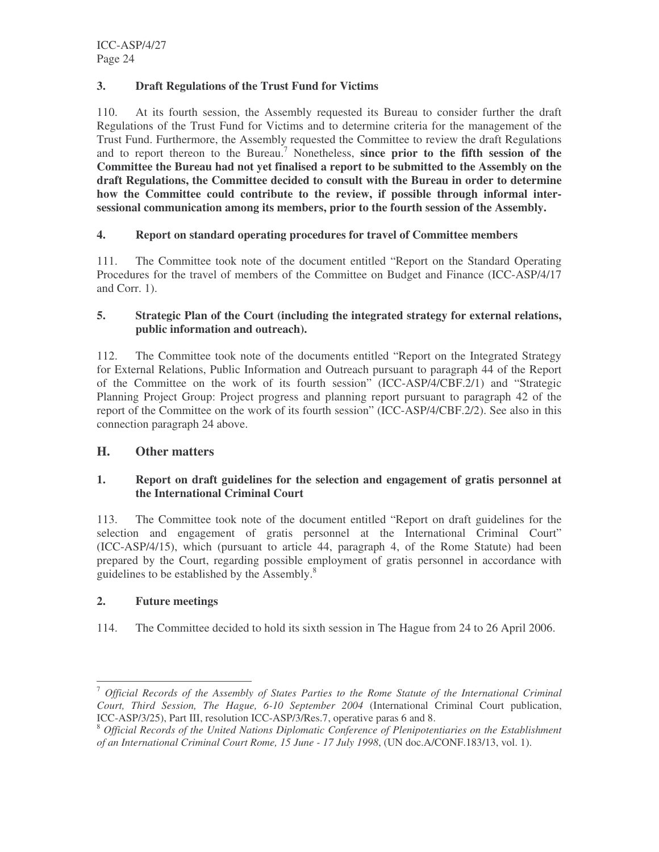#### **3. Draft Regulations of the Trust Fund for Victims**

110. At its fourth session, the Assembly requested its Bureau to consider further the draft Regulations of the Trust Fund for Victims and to determine criteria for the management of the Trust Fund. Furthermore, the Assembly requested the Committee to review the draft Regulations and to report thereon to the Bureau. <sup>7</sup> Nonetheless, **since prior to the fifth session of the Committee the Bureau had not yet finalised a report to be submitted to the Assembly on the draft Regulations, the Committee decided to consult with the Bureau in order to determine how the Committee could contribute to the review, if possible through informal intersessional communication among its members, prior to the fourth session of the Assembly.**

#### **4. Report on standard operating procedures for travel of Committee members**

111. The Committee took note of the document entitled "Report on the Standard Operating Procedures for the travel of members of the Committee on Budget and Finance (ICC-ASP/4/17 and Corr. 1).

#### **5. Strategic Plan of the Court (including the integrated strategy for external relations, public information and outreach).**

112. The Committee took note of the documents entitled "Report on the Integrated Strategy for External Relations, Public Information and Outreach pursuant to paragraph 44 of the Report of the Committee on the work of its fourth session" (ICC-ASP/4/CBF.2/1) and "Strategic Planning Project Group: Project progress and planning report pursuant to paragraph 42 of the report of the Committee on the work of its fourth session" (ICC-ASP/4/CBF.2/2). See also in this connection paragraph 24 above.

#### **H. Other matters**

#### **1. Report on draft guidelines for the selection and engagement of gratis personnel at the International Criminal Court**

113. The Committee took note of the document entitled "Report on draft guidelines for the selection and engagement of gratis personnel at the International Criminal Court" (ICC-ASP/4/15), which (pursuant to article 44, paragraph 4, of the Rome Statute) had been prepared by the Court, regarding possible employment of gratis personnel in accordance with guidelines to be established by the Assembly.<sup>8</sup>

#### **2. Future meetings**

114. The Committee decided to hold its sixth session in The Hague from 24 to 26 April 2006.

<sup>7</sup> *Official Records of the Assembly of States Parties to the Rome Statute of the International Criminal Court, Third Session, The Hague, 6-10 September 2004* (International Criminal Court publication, ICC-ASP/3/25), Part III, resolution ICC-ASP/3/Res.7, operative paras 6 and 8.

<sup>8</sup> *Official Records of the United Nations Diplomatic Conference of Plenipotentiaries on the Establishment of an International Criminal Court Rome, 15 June - 17 July 1998*, (UN doc.A/CONF.183/13, vol. 1).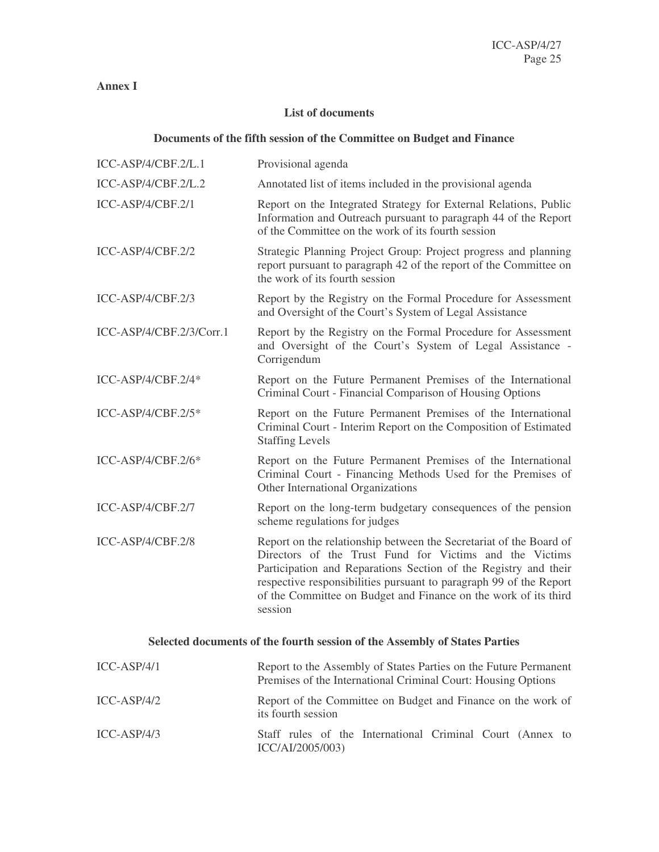## **Annex I**

#### **List of documents**

## **Documents of the fifth session of the Committee on Budget and Finance**

| ICC-ASP/4/CBF.2/L.1      | Provisional agenda                                                                                                                                                                                                                                                                                                                                   |
|--------------------------|------------------------------------------------------------------------------------------------------------------------------------------------------------------------------------------------------------------------------------------------------------------------------------------------------------------------------------------------------|
| ICC-ASP/4/CBF.2/L.2      | Annotated list of items included in the provisional agenda                                                                                                                                                                                                                                                                                           |
| ICC-ASP/4/CBF.2/1        | Report on the Integrated Strategy for External Relations, Public<br>Information and Outreach pursuant to paragraph 44 of the Report<br>of the Committee on the work of its fourth session                                                                                                                                                            |
| ICC-ASP/4/CBF.2/2        | Strategic Planning Project Group: Project progress and planning<br>report pursuant to paragraph 42 of the report of the Committee on<br>the work of its fourth session                                                                                                                                                                               |
| ICC-ASP/4/CBF.2/3        | Report by the Registry on the Formal Procedure for Assessment<br>and Oversight of the Court's System of Legal Assistance                                                                                                                                                                                                                             |
| ICC-ASP/4/CBF.2/3/Corr.1 | Report by the Registry on the Formal Procedure for Assessment<br>and Oversight of the Court's System of Legal Assistance -<br>Corrigendum                                                                                                                                                                                                            |
| ICC-ASP/4/CBF.2/4*       | Report on the Future Permanent Premises of the International<br>Criminal Court - Financial Comparison of Housing Options                                                                                                                                                                                                                             |
| ICC-ASP/4/CBF.2/5*       | Report on the Future Permanent Premises of the International<br>Criminal Court - Interim Report on the Composition of Estimated<br><b>Staffing Levels</b>                                                                                                                                                                                            |
| ICC-ASP/4/CBF.2/6*       | Report on the Future Permanent Premises of the International<br>Criminal Court - Financing Methods Used for the Premises of<br>Other International Organizations                                                                                                                                                                                     |
| ICC-ASP/4/CBF.2/7        | Report on the long-term budgetary consequences of the pension<br>scheme regulations for judges                                                                                                                                                                                                                                                       |
| ICC-ASP/4/CBF.2/8        | Report on the relationship between the Secretariat of the Board of<br>Directors of the Trust Fund for Victims and the Victims<br>Participation and Reparations Section of the Registry and their<br>respective responsibilities pursuant to paragraph 99 of the Report<br>of the Committee on Budget and Finance on the work of its third<br>session |
|                          | Selected documents of the fourth session of the Assembly of States Parties                                                                                                                                                                                                                                                                           |
| $ICC-ASP/4/1$            | Report to the Assembly of States Parties on the Future Permanent<br>Premises of the International Criminal Court: Housing Options                                                                                                                                                                                                                    |

| $ICC-ASP/4/2$ | Report of the Committee on Budget and Finance on the work of<br>its fourth session |
|---------------|------------------------------------------------------------------------------------|
| $ICC-ASP/4/3$ | Staff rules of the International Criminal Court (Annex to<br>ICC/AI/2005/003)      |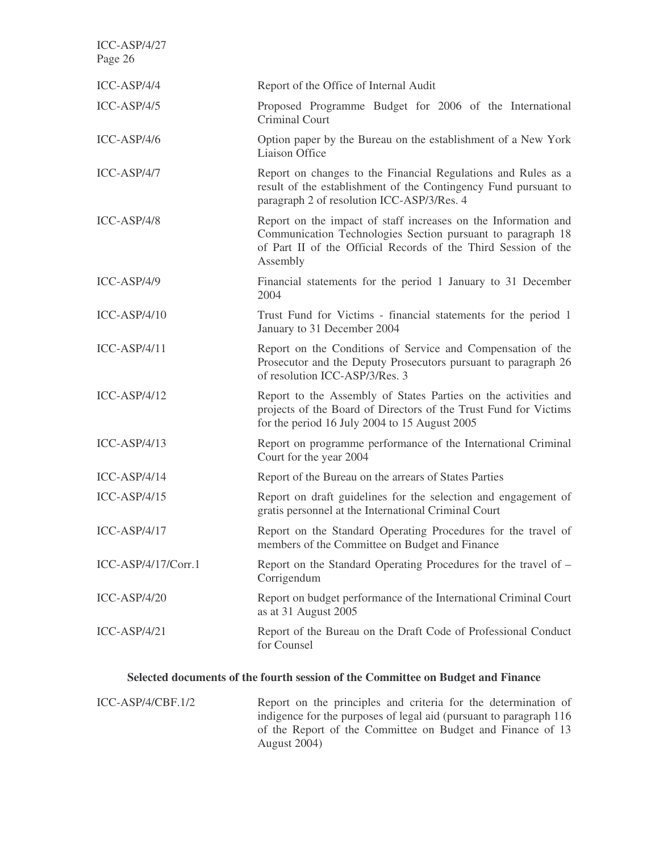| $ICC-ASP/4/27$<br>Page 26 |                                                                                                                                                                                                             |
|---------------------------|-------------------------------------------------------------------------------------------------------------------------------------------------------------------------------------------------------------|
| ICC-ASP/4/4               | Report of the Office of Internal Audit                                                                                                                                                                      |
| $ICC-ASP/4/5$             | Proposed Programme Budget for 2006 of the International<br><b>Criminal Court</b>                                                                                                                            |
| ICC-ASP/4/6               | Option paper by the Bureau on the establishment of a New York<br>Liaison Office                                                                                                                             |
| ICC-ASP/4/7               | Report on changes to the Financial Regulations and Rules as a<br>result of the establishment of the Contingency Fund pursuant to<br>paragraph 2 of resolution ICC-ASP/3/Res. 4                              |
| ICC-ASP/4/8               | Report on the impact of staff increases on the Information and<br>Communication Technologies Section pursuant to paragraph 18<br>of Part II of the Official Records of the Third Session of the<br>Assembly |
| $ICC-ASP/4/9$             | Financial statements for the period 1 January to 31 December<br>2004                                                                                                                                        |
| $ICC-ASP/4/10$            | Trust Fund for Victims - financial statements for the period 1<br>January to 31 December 2004                                                                                                               |
| $ICC-ASP/4/11$            | Report on the Conditions of Service and Compensation of the<br>Prosecutor and the Deputy Prosecutors pursuant to paragraph 26<br>of resolution ICC-ASP/3/Res. 3                                             |
| $ICC-ASP/4/12$            | Report to the Assembly of States Parties on the activities and<br>projects of the Board of Directors of the Trust Fund for Victims<br>for the period 16 July 2004 to 15 August 2005                         |
| $ICC-ASP/4/13$            | Report on programme performance of the International Criminal<br>Court for the year 2004                                                                                                                    |
| $ICC-ASP/4/14$            | Report of the Bureau on the arrears of States Parties                                                                                                                                                       |
| $ICC-ASP/4/15$            | Report on draft guidelines for the selection and engagement of<br>gratis personnel at the International Criminal Court                                                                                      |
| $ICC-ASP/4/17$            | Report on the Standard Operating Procedures for the travel of<br>members of the Committee on Budget and Finance                                                                                             |
| ICC-ASP/4/17/Corr.1       | Report on the Standard Operating Procedures for the travel of -<br>Corrigendum                                                                                                                              |
| $ICC-ASP/4/20$            | Report on budget performance of the International Criminal Court<br>as at 31 August 2005                                                                                                                    |
| $ICC-ASP/4/21$            | Report of the Bureau on the Draft Code of Professional Conduct<br>for Counsel                                                                                                                               |

### **Selected documents of the fourth session of the Committee on Budget and Finance**

ICC-ASP/4/CBF.1/2 Report on the principles and criteria for the determination of indigence for the purposes of legal aid (pursuant to paragraph 116 of the Report of the Committee on Budget and Finance of 13 August 2004)